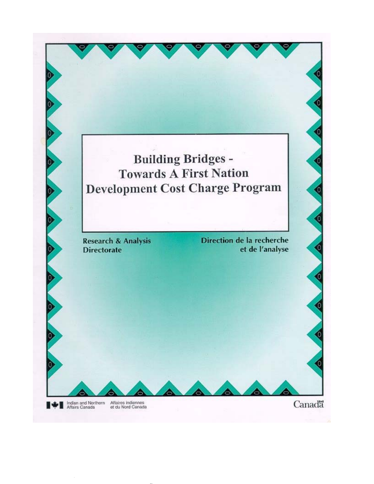

file://S:\LLast\scanned\building-bridges\_e.jpg 7/30/02

Research & Analysis **Directorate** 

Direction de la recherche et de l'analyse

Indian and Northern Affaires indiennes<br>Affairs Canada et du Nord Canada

Canadä

О

Ο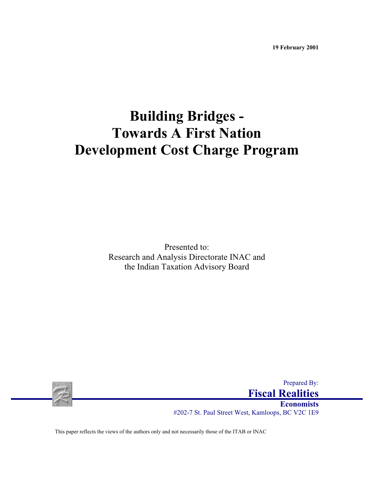**19 February 2001**

# **Building Bridges - Towards A First Nation Development Cost Charge Program**

Presented to: Research and Analysis Directorate INAC and the Indian Taxation Advisory Board



Prepared By: **Fiscal Realities**

**Economists** #202-7 St. Paul Street West, Kamloops, BC V2C 1E9

This paper reflects the views of the authors only and not necessarily those of the ITAB or INAC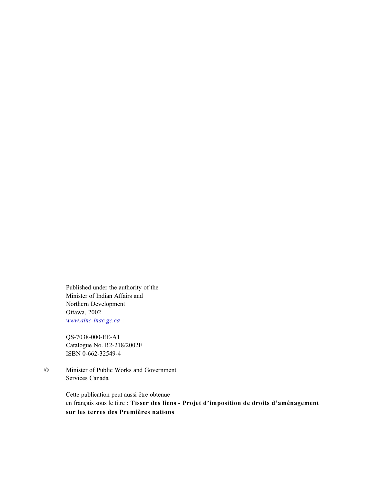Published under the authority of the Minister of Indian Affairs and Northern Development Ottawa, 2002 *<www.ainc-inac.gc.ca>*

QS-7038-000-EE-A1 Catalogue No. R2-218/2002E ISBN 0-662-32549-4

© Minister of Public Works and Government Services Canada

> Cette publication peut aussi être obtenue en français sous le titre : **Tisser des liens - Projet d'imposition de droits d'aménagement sur les terres des Premières nations**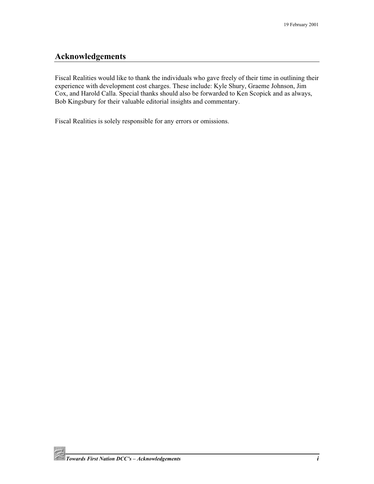# <span id="page-3-0"></span>**Acknowledgements**

Fiscal Realities would like to thank the individuals who gave freely of their time in outlining their experience with development cost charges. These include: Kyle Shury, Graeme Johnson, Jim Cox, and Harold Calla. Special thanks should also be forwarded to Ken Scopick and as always, Bob Kingsbury for their valuable editorial insights and commentary.

Fiscal Realities is solely responsible for any errors or omissions.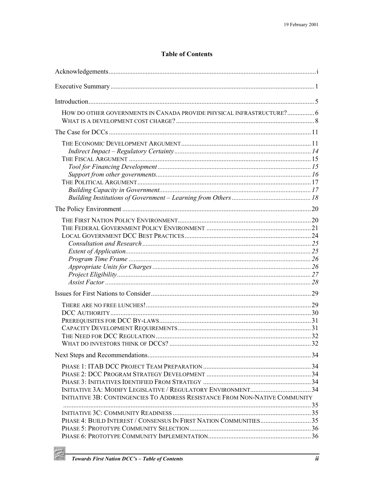# **Table of Contents**

| HOW DO OTHER GOVERNMENTS IN CANADA PROVIDE PHYSICAL INFRASTRUCTURE? 6        |  |
|------------------------------------------------------------------------------|--|
|                                                                              |  |
|                                                                              |  |
|                                                                              |  |
|                                                                              |  |
|                                                                              |  |
|                                                                              |  |
|                                                                              |  |
| INITIATIVE 3B: CONTINGENCIES TO ADDRESS RESISTANCE FROM NON-NATIVE COMMUNITY |  |
|                                                                              |  |

乏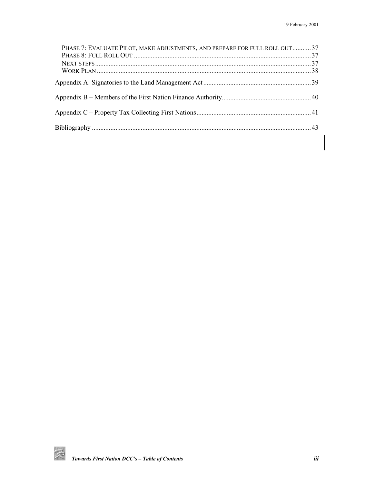| PHASE 7: EVALUATE PILOT, MAKE ADJUSTMENTS, AND PREPARE FOR FULL ROLL OUT  37 |  |
|------------------------------------------------------------------------------|--|
|                                                                              |  |
|                                                                              |  |
|                                                                              |  |
|                                                                              |  |
|                                                                              |  |
|                                                                              |  |
|                                                                              |  |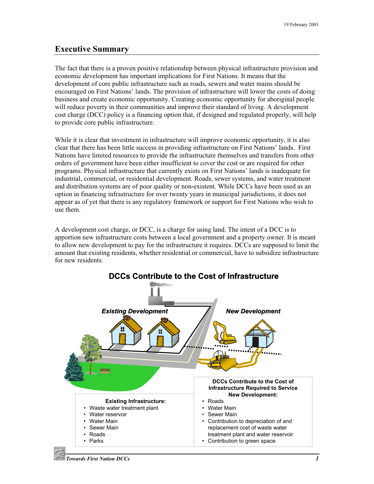# <span id="page-6-0"></span>**Executive Summary**

The fact that there is a proven positive relationship between physical infrastructure provision and economic development has important implications for First Nations. It means that the development of core public infrastructure such as roads, sewers and water mains should be encouraged on First Nations' lands. The provision of infrastructure will lower the costs of doing business and create economic opportunity. Creating economic opportunity for aboriginal people will reduce poverty in their communities and improve their standard of living. A development cost charge (DCC) policy is a financing option that, if designed and regulated properly, will help to provide core public infrastructure.

While it is clear that investment in infrastructure will improve economic opportunity, it is also clear that there has been little success in providing infrastructure on First Nations' lands. First Nations have limited resources to provide the infrastructure themselves and transfers from other orders of government have been either insufficient to cover the cost or are required for other programs. Physical infrastructure that currently exists on First Nations' lands is inadequate for industrial, commercial, or residential development. Roads, sewer systems, and water treatment and distribution systems are of poor quality or non-existent. While DCCs have been used as an option in financing infrastructure for over twenty years in municipal jurisdictions, it does not appear as of yet that there is any regulatory framework or support for First Nations who wish to use them.

A development cost charge, or DCC, is a charge for using land. The intent of a DCC is to apportion new infrastructure costs between a local government and a property owner. It is meant to allow new development to pay for the infrastructure it requires. DCCs are supposed to limit the amount that existing residents, whether residential or commercial, have to subsidize infrastructure for new residents.



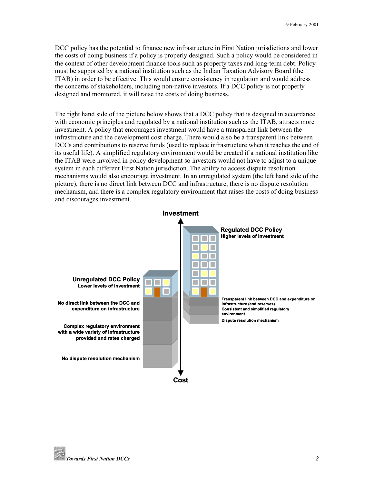DCC policy has the potential to finance new infrastructure in First Nation jurisdictions and lower the costs of doing business if a policy is properly designed. Such a policy would be considered in the context of other development finance tools such as property taxes and long-term debt. Policy must be supported by a national institution such as the Indian Taxation Advisory Board (the ITAB) in order to be effective. This would ensure consistency in regulation and would address the concerns of stakeholders, including non-native investors. If a DCC policy is not properly designed and monitored, it will raise the costs of doing business.

The right hand side of the picture below shows that a DCC policy that is designed in accordance with economic principles and regulated by a national institution such as the ITAB, attracts more investment. A policy that encourages investment would have a transparent link between the infrastructure and the development cost charge. There would also be a transparent link between DCCs and contributions to reserve funds (used to replace infrastructure when it reaches the end of its useful life). A simplified regulatory environment would be created if a national institution like the ITAB were involved in policy development so investors would not have to adjust to a unique system in each different First Nation jurisdiction. The ability to access dispute resolution mechanisms would also encourage investment. In an unregulated system (the left hand side of the picture), there is no direct link between DCC and infrastructure, there is no dispute resolution mechanism, and there is a complex regulatory environment that raises the costs of doing business and discourages investment.

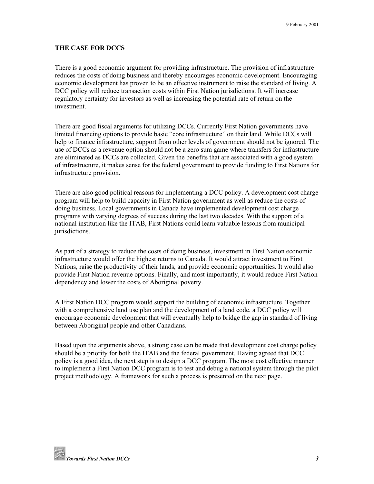#### **THE CASE FOR DCCS**

There is a good economic argument for providing infrastructure. The provision of infrastructure reduces the costs of doing business and thereby encourages economic development. Encouraging economic development has proven to be an effective instrument to raise the standard of living. A DCC policy will reduce transaction costs within First Nation jurisdictions. It will increase regulatory certainty for investors as well as increasing the potential rate of return on the investment.

There are good fiscal arguments for utilizing DCCs. Currently First Nation governments have limited financing options to provide basic "core infrastructure" on their land. While DCCs will help to finance infrastructure, support from other levels of government should not be ignored. The use of DCCs as a revenue option should not be a zero sum game where transfers for infrastructure are eliminated as DCCs are collected. Given the benefits that are associated with a good system of infrastructure, it makes sense for the federal government to provide funding to First Nations for infrastructure provision.

There are also good political reasons for implementing a DCC policy. A development cost charge program will help to build capacity in First Nation government as well as reduce the costs of doing business. Local governments in Canada have implemented development cost charge programs with varying degrees of success during the last two decades. With the support of a national institution like the ITAB, First Nations could learn valuable lessons from municipal jurisdictions.

As part of a strategy to reduce the costs of doing business, investment in First Nation economic infrastructure would offer the highest returns to Canada. It would attract investment to First Nations, raise the productivity of their lands, and provide economic opportunities. It would also provide First Nation revenue options. Finally, and most importantly, it would reduce First Nation dependency and lower the costs of Aboriginal poverty.

A First Nation DCC program would support the building of economic infrastructure. Together with a comprehensive land use plan and the development of a land code, a DCC policy will encourage economic development that will eventually help to bridge the gap in standard of living between Aboriginal people and other Canadians.

Based upon the arguments above, a strong case can be made that development cost charge policy should be a priority for both the ITAB and the federal government. Having agreed that DCC policy is a good idea, the next step is to design a DCC program. The most cost effective manner to implement a First Nation DCC program is to test and debug a national system through the pilot project methodology. A framework for such a process is presented on the next page.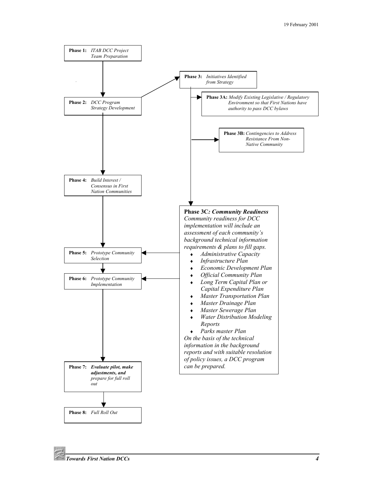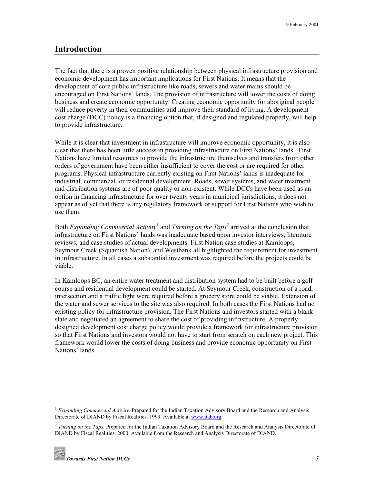# <span id="page-10-0"></span>**Introduction**

The fact that there is a proven positive relationship between physical infrastructure provision and economic development has important implications for First Nations. It means that the development of core public infrastructure like roads, sewers and water mains should be encouraged on First Nations' lands. The provision of infrastructure will lower the costs of doing business and create economic opportunity. Creating economic opportunity for aboriginal people will reduce poverty in their communities and improve their standard of living. A development cost charge (DCC) policy is a financing option that, if designed and regulated properly, will help to provide infrastructure.

While it is clear that investment in infrastructure will improve economic opportunity, it is also clear that there has been little success in providing infrastructure on First Nations' lands. First Nations have limited resources to provide the infrastructure themselves and transfers from other orders of government have been either insufficient to cover the cost or are required for other programs. Physical infrastructure currently existing on First Nations' lands is inadequate for industrial, commercial, or residential development. Roads, sewer systems, and water treatment and distribution systems are of poor quality or non-existent. While DCCs have been used as an option in financing infrastructure for over twenty years in municipal jurisdictions, it does not appear as of yet that there is any regulatory framework or support for First Nations who wish to use them.

Both *Expanding Commercial Activity*<sup>1</sup> and *Turning on the Taps*<sup>2</sup> arrived at the conclusion that infrastructure on First Nations' lands was inadequate based upon investor interviews, literature reviews, and case studies of actual developments. First Nation case studies at Kamloops, Seymour Creek (Squamish Nation), and Westbank all highlighted the requirement for investment in infrastructure. In all cases a substantial investment was required before the projects could be viable.

In Kamloops BC, an entire water treatment and distribution system had to be built before a golf course and residential development could be started. At Seymour Creek, construction of a road, intersection and a traffic light were required before a grocery store could be viable. Extension of the water and sewer services to the site was also required. In both cases the First Nations had no existing policy for infrastructure provision. The First Nations and investors started with a blank slate and negotiated an agreement to share the cost of providing infrastructure. A properly designed development cost charge policy would provide a framework for infrastructure provision so that First Nations and investors would not have to start from scratch on each new project. This framework would lower the costs of doing business and provide economic opportunity on First Nations' lands.

<sup>&</sup>lt;sup>1</sup> *Expanding Commercial Activity*. Prepared for the Indian Taxation Advisory Board and the Research and Analysis Directorate of DIAND by Fiscal Realities. 1999. Available at [www.itab.org.](www.itab.ca)

<sup>2</sup> *Turning on the Taps*. Prepared for the Indian Taxation Advisory Board and the Research and Analysis Directorate of DIAND by Fiscal Realities. 2000. Available from the Research and Analysis Directorate of DIAND.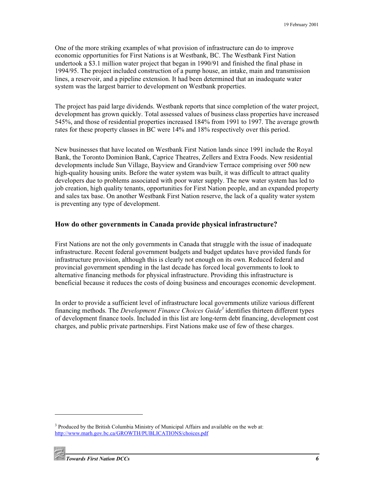<span id="page-11-0"></span>One of the more striking examples of what provision of infrastructure can do to improve economic opportunities for First Nations is at Westbank, BC. The Westbank First Nation undertook a \$3.1 million water project that began in 1990/91 and finished the final phase in 1994/95. The project included construction of a pump house, an intake, main and transmission lines, a reservoir, and a pipeline extension. It had been determined that an inadequate water system was the largest barrier to development on Westbank properties.

The project has paid large dividends. Westbank reports that since completion of the water project, development has grown quickly. Total assessed values of business class properties have increased 545%, and those of residential properties increased 184% from 1991 to 1997. The average growth rates for these property classes in BC were 14% and 18% respectively over this period.

New businesses that have located on Westbank First Nation lands since 1991 include the Royal Bank, the Toronto Dominion Bank, Caprice Theatres, Zellers and Extra Foods. New residential developments include Sun Village, Bayview and Grandview Terrace comprising over 500 new high-quality housing units. Before the water system was built, it was difficult to attract quality developers due to problems associated with poor water supply. The new water system has led to job creation, high quality tenants, opportunities for First Nation people, and an expanded property and sales tax base. On another Westbank First Nation reserve, the lack of a quality water system is preventing any type of development.

#### **How do other governments in Canada provide physical infrastructure?**

First Nations are not the only governments in Canada that struggle with the issue of inadequate infrastructure. Recent federal government budgets and budget updates have provided funds for infrastructure provision, although this is clearly not enough on its own. Reduced federal and provincial government spending in the last decade has forced local governments to look to alternative financing methods for physical infrastructure. Providing this infrastructure is beneficial because it reduces the costs of doing business and encourages economic development.

In order to provide a sufficient level of infrastructure local governments utilize various different financing methods. The *Development Finance Choices Guide<sup>3</sup>* identifies thirteen different types of development finance tools. Included in this list are long-term debt financing, development cost charges, and public private partnerships. First Nations make use of few of these charges.

<sup>&</sup>lt;sup>3</sup> Produced by the British Columbia Ministry of Municipal Affairs and available on the web at: <http://www.marh.gov.bc.ca/GROWTH/PUBLICATIONS/choices.pdf>

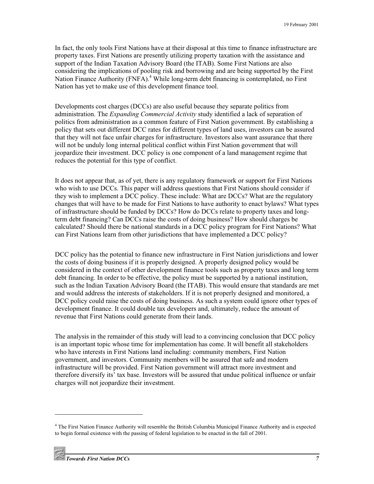In fact, the only tools First Nations have at their disposal at this time to finance infrastructure are property taxes. First Nations are presently utilizing property taxation with the assistance and support of the Indian Taxation Advisory Board (the ITAB). Some First Nations are also considering the implications of pooling risk and borrowing and are being supported by the First Nation Finance Authority (FNFA).<sup>4</sup> While long-term debt financing is contemplated, no First Nation has yet to make use of this development finance tool.

Developments cost charges (DCCs) are also useful because they separate politics from administration. The *Expanding Commercial Activity* study identified a lack of separation of politics from administration as a common feature of First Nation government. By establishing a policy that sets out different DCC rates for different types of land uses, investors can be assured that they will not face unfair charges for infrastructure. Investors also want assurance that there will not be unduly long internal political conflict within First Nation government that will jeopardize their investment. DCC policy is one component of a land management regime that reduces the potential for this type of conflict.

It does not appear that, as of yet, there is any regulatory framework or support for First Nations who wish to use DCCs. This paper will address questions that First Nations should consider if they wish to implement a DCC policy. These include: What are DCCs? What are the regulatory changes that will have to be made for First Nations to have authority to enact bylaws? What types of infrastructure should be funded by DCCs? How do DCCs relate to property taxes and longterm debt financing? Can DCCs raise the costs of doing business? How should charges be calculated? Should there be national standards in a DCC policy program for First Nations? What can First Nations learn from other jurisdictions that have implemented a DCC policy?

DCC policy has the potential to finance new infrastructure in First Nation jurisdictions and lower the costs of doing business if it is properly designed. A properly designed policy would be considered in the context of other development finance tools such as property taxes and long term debt financing. In order to be effective, the policy must be supported by a national institution, such as the Indian Taxation Advisory Board (the ITAB). This would ensure that standards are met and would address the interests of stakeholders. If it is not properly designed and monitored, a DCC policy could raise the costs of doing business. As such a system could ignore other types of development finance. It could double tax developers and, ultimately, reduce the amount of revenue that First Nations could generate from their lands.

The analysis in the remainder of this study will lead to a convincing conclusion that DCC policy is an important topic whose time for implementation has come. It will benefit all stakeholders who have interests in First Nations land including: community members, First Nation government, and investors. Community members will be assured that safe and modern infrastructure will be provided. First Nation government will attract more investment and therefore diversify its' tax base. Investors will be assured that undue political influence or unfair charges will not jeopardize their investment.

<sup>&</sup>lt;sup>4</sup> The First Nation Finance Authority will resemble the British Columbia Municipal Finance Authority and is expected to begin formal existence with the passing of federal legislation to be enacted in the fall of 2001.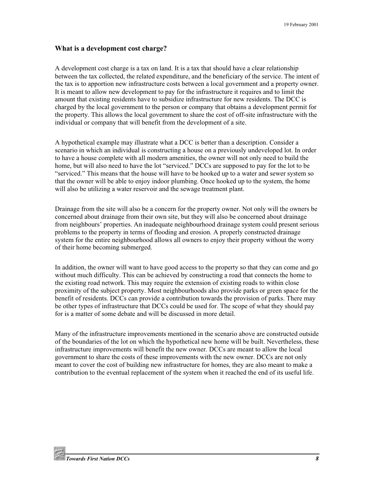#### <span id="page-13-0"></span>**What is a development cost charge?**

A development cost charge is a tax on land. It is a tax that should have a clear relationship between the tax collected, the related expenditure, and the beneficiary of the service. The intent of the tax is to apportion new infrastructure costs between a local government and a property owner. It is meant to allow new development to pay for the infrastructure it requires and to limit the amount that existing residents have to subsidize infrastructure for new residents. The DCC is charged by the local government to the person or company that obtains a development permit for the property. This allows the local government to share the cost of off-site infrastructure with the individual or company that will benefit from the development of a site.

A hypothetical example may illustrate what a DCC is better than a description. Consider a scenario in which an individual is constructing a house on a previously undeveloped lot. In order to have a house complete with all modern amenities, the owner will not only need to build the home, but will also need to have the lot "serviced." DCCs are supposed to pay for the lot to be "serviced." This means that the house will have to be hooked up to a water and sewer system so that the owner will be able to enjoy indoor plumbing. Once hooked up to the system, the home will also be utilizing a water reservoir and the sewage treatment plant.

Drainage from the site will also be a concern for the property owner. Not only will the owners be concerned about drainage from their own site, but they will also be concerned about drainage from neighbours' properties. An inadequate neighbourhood drainage system could present serious problems to the property in terms of flooding and erosion. A properly constructed drainage system for the entire neighbourhood allows all owners to enjoy their property without the worry of their home becoming submerged.

In addition, the owner will want to have good access to the property so that they can come and go without much difficulty. This can be achieved by constructing a road that connects the home to the existing road network. This may require the extension of existing roads to within close proximity of the subject property. Most neighbourhoods also provide parks or green space for the benefit of residents. DCCs can provide a contribution towards the provision of parks. There may be other types of infrastructure that DCCs could be used for. The scope of what they should pay for is a matter of some debate and will be discussed in more detail.

Many of the infrastructure improvements mentioned in the scenario above are constructed outside of the boundaries of the lot on which the hypothetical new home will be built. Nevertheless, these infrastructure improvements will benefit the new owner. DCCs are meant to allow the local government to share the costs of these improvements with the new owner. DCCs are not only meant to cover the cost of building new infrastructure for homes, they are also meant to make a contribution to the eventual replacement of the system when it reached the end of its useful life.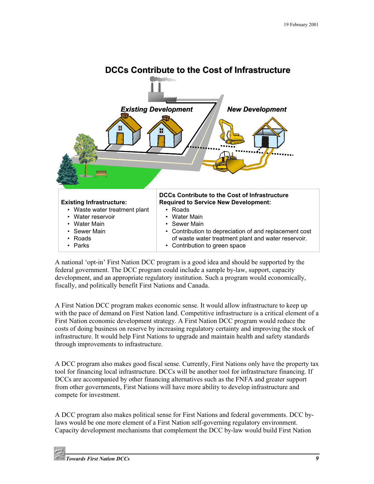

# **DCCs Contribute to the Cost of Infrastructure**

A national 'opt-in' First Nation DCC program is a good idea and should be supported by the federal government. The DCC program could include a sample by-law, support, capacity development, and an appropriate regulatory institution. Such a program would economically, fiscally, and politically benefit First Nations and Canada.

A First Nation DCC program makes economic sense. It would allow infrastructure to keep up with the pace of demand on First Nation land. Competitive infrastructure is a critical element of a First Nation economic development strategy. A First Nation DCC program would reduce the costs of doing business on reserve by increasing regulatory certainty and improving the stock of infrastructure. It would help First Nations to upgrade and maintain health and safety standards through improvements to infrastructure.

A DCC program also makes good fiscal sense. Currently, First Nations only have the property tax tool for financing local infrastructure. DCCs will be another tool for infrastructure financing. If DCCs are accompanied by other financing alternatives such as the FNFA and greater support from other governments, First Nations will have more ability to develop infrastructure and compete for investment.

A DCC program also makes political sense for First Nations and federal governments. DCC bylaws would be one more element of a First Nation self-governing regulatory environment. Capacity development mechanisms that complement the DCC by-law would build First Nation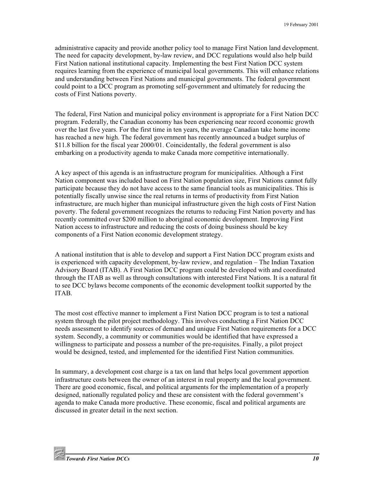administrative capacity and provide another policy tool to manage First Nation land development. The need for capacity development, by-law review, and DCC regulations would also help build First Nation national institutional capacity. Implementing the best First Nation DCC system requires learning from the experience of municipal local governments. This will enhance relations and understanding between First Nations and municipal governments. The federal government could point to a DCC program as promoting self-government and ultimately for reducing the costs of First Nations poverty.

The federal, First Nation and municipal policy environment is appropriate for a First Nation DCC program. Federally, the Canadian economy has been experiencing near record economic growth over the last five years. For the first time in ten years, the average Canadian take home income has reached a new high. The federal government has recently announced a budget surplus of \$11.8 billion for the fiscal year 2000/01. Coincidentally, the federal government is also embarking on a productivity agenda to make Canada more competitive internationally.

A key aspect of this agenda is an infrastructure program for municipalities. Although a First Nation component was included based on First Nation population size, First Nations cannot fully participate because they do not have access to the same financial tools as municipalities. This is potentially fiscally unwise since the real returns in terms of productivity from First Nation infrastructure, are much higher than municipal infrastructure given the high costs of First Nation poverty. The federal government recognizes the returns to reducing First Nation poverty and has recently committed over \$200 million to aboriginal economic development. Improving First Nation access to infrastructure and reducing the costs of doing business should be key components of a First Nation economic development strategy.

A national institution that is able to develop and support a First Nation DCC program exists and is experienced with capacity development, by-law review, and regulation – The Indian Taxation Advisory Board (ITAB). A First Nation DCC program could be developed with and coordinated through the ITAB as well as through consultations with interested First Nations. It is a natural fit to see DCC bylaws become components of the economic development toolkit supported by the ITAB.

The most cost effective manner to implement a First Nation DCC program is to test a national system through the pilot project methodology. This involves conducting a First Nation DCC needs assessment to identify sources of demand and unique First Nation requirements for a DCC system. Secondly, a community or communities would be identified that have expressed a willingness to participate and possess a number of the pre-requisites. Finally, a pilot project would be designed, tested, and implemented for the identified First Nation communities.

In summary, a development cost charge is a tax on land that helps local government apportion infrastructure costs between the owner of an interest in real property and the local government. There are good economic, fiscal, and political arguments for the implementation of a properly designed, nationally regulated policy and these are consistent with the federal government's agenda to make Canada more productive. These economic, fiscal and political arguments are discussed in greater detail in the next section.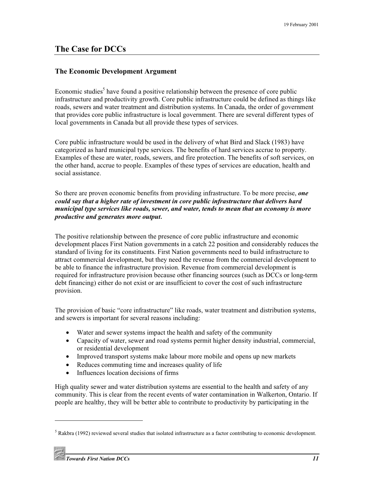# <span id="page-16-0"></span>**The Case for DCCs**

#### **The Economic Development Argument**

Economic studies<sup>5</sup> have found a positive relationship between the presence of core public infrastructure and productivity growth. Core public infrastructure could be defined as things like roads, sewers and water treatment and distribution systems. In Canada, the order of government that provides core public infrastructure is local government. There are several different types of local governments in Canada but all provide these types of services.

Core public infrastructure would be used in the delivery of what Bird and Slack (1983) have categorized as hard municipal type services. The benefits of hard services accrue to property. Examples of these are water, roads, sewers, and fire protection. The benefits of soft services, on the other hand, accrue to people. Examples of these types of services are education, health and social assistance.

So there are proven economic benefits from providing infrastructure. To be more precise, *one could say that a higher rate of investment in core public infrastructure that delivers hard municipal type services like roads, sewer, and water, tends to mean that an economy is more productive and generates more output.*

The positive relationship between the presence of core public infrastructure and economic development places First Nation governments in a catch 22 position and considerably reduces the standard of living for its constituents. First Nation governments need to build infrastructure to attract commercial development, but they need the revenue from the commercial development to be able to finance the infrastructure provision. Revenue from commercial development is required for infrastructure provision because other financing sources (such as DCCs or long-term debt financing) either do not exist or are insufficient to cover the cost of such infrastructure provision.

The provision of basic "core infrastructure" like roads, water treatment and distribution systems, and sewers is important for several reasons including:

- Water and sewer systems impact the health and safety of the community
- Capacity of water, sewer and road systems permit higher density industrial, commercial, or residential development
- Improved transport systems make labour more mobile and opens up new markets
- Reduces commuting time and increases quality of life
- Influences location decisions of firms

High quality sewer and water distribution systems are essential to the health and safety of any community. This is clear from the recent events of water contamination in Walkerton, Ontario. If people are healthy, they will be better able to contribute to productivity by participating in the

 $<sup>5</sup>$  Rakbra (1992) reviewed several studies that isolated infrastructure as a factor contributing to economic development.</sup>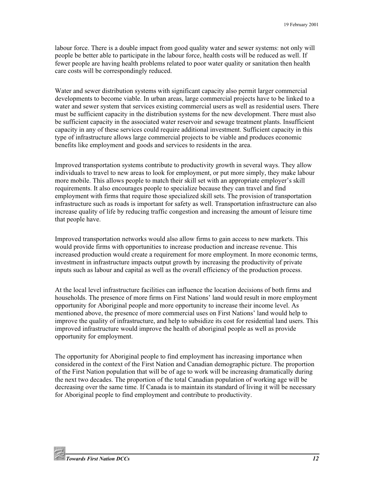labour force. There is a double impact from good quality water and sewer systems: not only will people be better able to participate in the labour force, health costs will be reduced as well. If fewer people are having health problems related to poor water quality or sanitation then health care costs will be correspondingly reduced.

Water and sewer distribution systems with significant capacity also permit larger commercial developments to become viable. In urban areas, large commercial projects have to be linked to a water and sewer system that services existing commercial users as well as residential users. There must be sufficient capacity in the distribution systems for the new development. There must also be sufficient capacity in the associated water reservoir and sewage treatment plants. Insufficient capacity in any of these services could require additional investment. Sufficient capacity in this type of infrastructure allows large commercial projects to be viable and produces economic benefits like employment and goods and services to residents in the area.

Improved transportation systems contribute to productivity growth in several ways. They allow individuals to travel to new areas to look for employment, or put more simply, they make labour more mobile. This allows people to match their skill set with an appropriate employer's skill requirements. It also encourages people to specialize because they can travel and find employment with firms that require those specialized skill sets. The provision of transportation infrastructure such as roads is important for safety as well. Transportation infrastructure can also increase quality of life by reducing traffic congestion and increasing the amount of leisure time that people have.

Improved transportation networks would also allow firms to gain access to new markets. This would provide firms with opportunities to increase production and increase revenue. This increased production would create a requirement for more employment. In more economic terms, investment in infrastructure impacts output growth by increasing the productivity of private inputs such as labour and capital as well as the overall efficiency of the production process.

At the local level infrastructure facilities can influence the location decisions of both firms and households. The presence of more firms on First Nations' land would result in more employment opportunity for Aboriginal people and more opportunity to increase their income level. As mentioned above, the presence of more commercial uses on First Nations' land would help to improve the quality of infrastructure, and help to subsidize its cost for residential land users. This improved infrastructure would improve the health of aboriginal people as well as provide opportunity for employment.

The opportunity for Aboriginal people to find employment has increasing importance when considered in the context of the First Nation and Canadian demographic picture. The proportion of the First Nation population that will be of age to work will be increasing dramatically during the next two decades. The proportion of the total Canadian population of working age will be decreasing over the same time. If Canada is to maintain its standard of living it will be necessary for Aboriginal people to find employment and contribute to productivity.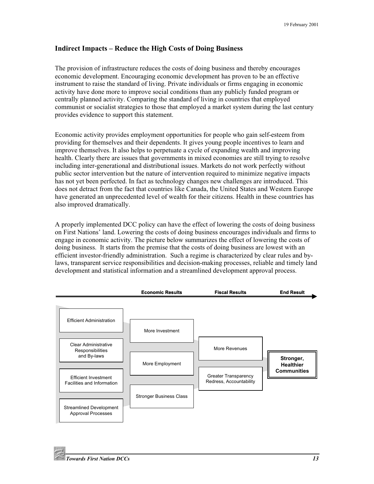### **Indirect Impacts – Reduce the High Costs of Doing Business**

The provision of infrastructure reduces the costs of doing business and thereby encourages economic development. Encouraging economic development has proven to be an effective instrument to raise the standard of living. Private individuals or firms engaging in economic activity have done more to improve social conditions than any publicly funded program or centrally planned activity. Comparing the standard of living in countries that employed communist or socialist strategies to those that employed a market system during the last century provides evidence to support this statement.

Economic activity provides employment opportunities for people who gain self-esteem from providing for themselves and their dependents. It gives young people incentives to learn and improve themselves. It also helps to perpetuate a cycle of expanding wealth and improving health. Clearly there are issues that governments in mixed economies are still trying to resolve including inter-generational and distributional issues. Markets do not work perfectly without public sector intervention but the nature of intervention required to minimize negative impacts has not yet been perfected. In fact as technology changes new challenges are introduced. This does not detract from the fact that countries like Canada, the United States and Western Europe have generated an unprecedented level of wealth for their citizens. Health in these countries has also improved dramatically.

A properly implemented DCC policy can have the effect of lowering the costs of doing business on First Nations' land. Lowering the costs of doing business encourages individuals and firms to engage in economic activity. The picture below summarizes the effect of lowering the costs of doing business. It starts from the premise that the costs of doing business are lowest with an efficient investor-friendly administration. Such a regime is characterized by clear rules and bylaws, transparent service responsibilities and decision-making processes, reliable and timely land development and statistical information and a streamlined development approval process.

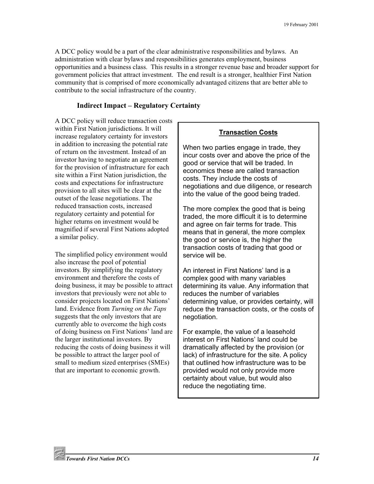<span id="page-19-0"></span>A DCC policy would be a part of the clear administrative responsibilities and bylaws. An administration with clear bylaws and responsibilities generates employment, business opportunities and a business class. This results in a stronger revenue base and broader support for government policies that attract investment. The end result is a stronger, healthier First Nation community that is comprised of more economically advantaged citizens that are better able to contribute to the social infrastructure of the country.

#### **Indirect Impact – Regulatory Certainty**

A DCC policy will reduce transaction costs within First Nation jurisdictions. It will increase regulatory certainty for investors in addition to increasing the potential rate of return on the investment. Instead of an investor having to negotiate an agreement for the provision of infrastructure for each site within a First Nation jurisdiction, the costs and expectations for infrastructure provision to all sites will be clear at the outset of the lease negotiations. The reduced transaction costs, increased regulatory certainty and potential for higher returns on investment would be magnified if several First Nations adopted a similar policy.

The simplified policy environment would also increase the pool of potential investors. By simplifying the regulatory environment and therefore the costs of doing business, it may be possible to attract investors that previously were not able to consider projects located on First Nations' land. Evidence from *Turning on the Taps* suggests that the only investors that are currently able to overcome the high costs of doing business on First Nations' land are the larger institutional investors. By reducing the costs of doing business it will be possible to attract the larger pool of small to medium sized enterprises (SMEs) that are important to economic growth.

#### **Transaction Costs**

When two parties engage in trade, they incur costs over and above the price of the good or service that will be traded. In economics these are called transaction costs. They include the costs of negotiations and due diligence, or research into the value of the good being traded.

The more complex the good that is being traded, the more difficult it is to determine and agree on fair terms for trade. This means that in general, the more complex the good or service is, the higher the transaction costs of trading that good or service will be.

An interest in First Nations' land is a complex good with many variables determining its value. Any information that reduces the number of variables determining value, or provides certainty, will reduce the transaction costs, or the costs of negotiation.

For example, the value of a leasehold interest on First Nations' land could be dramatically affected by the provision (or lack) of infrastructure for the site. A policy that outlined how infrastructure was to be provided would not only provide more certainty about value, but would also reduce the negotiating time.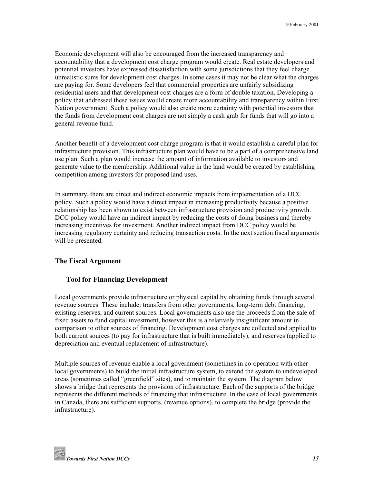<span id="page-20-0"></span>Economic development will also be encouraged from the increased transparency and accountability that a development cost charge program would create. Real estate developers and potential investors have expressed dissatisfaction with some jurisdictions that they feel charge unrealistic sums for development cost charges. In some cases it may not be clear what the charges are paying for. Some developers feel that commercial properties are unfairly subsidizing residential users and that development cost charges are a form of double taxation. Developing a policy that addressed these issues would create more accountability and transparency within First Nation government. Such a policy would also create more certainty with potential investors that the funds from development cost charges are not simply a cash grab for funds that will go into a general revenue fund.

Another benefit of a development cost charge program is that it would establish a careful plan for infrastructure provision. This infrastructure plan would have to be a part of a comprehensive land use plan. Such a plan would increase the amount of information available to investors and generate value to the membership. Additional value in the land would be created by establishing competition among investors for proposed land uses.

In summary, there are direct and indirect economic impacts from implementation of a DCC policy. Such a policy would have a direct impact in increasing productivity because a positive relationship has been shown to exist between infrastructure provision and productivity growth. DCC policy would have an indirect impact by reducing the costs of doing business and thereby increasing incentives for investment. Another indirect impact from DCC policy would be increasing regulatory certainty and reducing transaction costs. In the next section fiscal arguments will be presented.

#### **The Fiscal Argument**

#### **Tool for Financing Development**

Local governments provide infrastructure or physical capital by obtaining funds through several revenue sources. These include: transfers from other governments, long-term debt financing, existing reserves, and current sources. Local governments also use the proceeds from the sale of fixed assets to fund capital investment, however this is a relatively insignificant amount in comparison to other sources of financing. Development cost charges are collected and applied to both current sources (to pay for infrastructure that is built immediately), and reserves (applied to depreciation and eventual replacement of infrastructure).

Multiple sources of revenue enable a local government (sometimes in co-operation with other local governments) to build the initial infrastructure system, to extend the system to undeveloped areas (sometimes called "greenfield" sites), and to maintain the system. The diagram below shows a bridge that represents the provision of infrastructure. Each of the supports of the bridge represents the different methods of financing that infrastructure. In the case of local governments in Canada, there are sufficient supports, (revenue options), to complete the bridge (provide the infrastructure).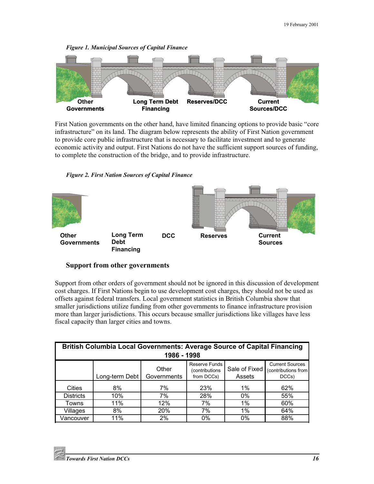

<span id="page-21-0"></span>

First Nation governments on the other hand, have limited financing options to provide basic "core infrastructure" on its land. The diagram below represents the ability of First Nation government to provide core public infrastructure that is necessary to facilitate investment and to generate economic activity and output. First Nations do not have the sufficient support sources of funding, to complete the construction of the bridge, and to provide infrastructure.

#### *Figure 2. First Nation Sources of Capital Finance*



# **Support from other governments**

Support from other orders of government should not be ignored in this discussion of development cost charges. If First Nations begin to use development cost charges, they should not be used as offsets against federal transfers. Local government statistics in British Columbia show that smaller jurisdictions utilize funding from other governments to finance infrastructure provision more than larger jurisdictions. This occurs because smaller jurisdictions like villages have less fiscal capacity than larger cities and towns.

| <b>British Columbia Local Governments: Average Source of Capital Financing</b><br>1986 - 1998 |                |                      |                                               |                         |                                                        |
|-----------------------------------------------------------------------------------------------|----------------|----------------------|-----------------------------------------------|-------------------------|--------------------------------------------------------|
|                                                                                               | Long-term Debt | Other<br>Governments | Reserve Funds<br>(contributions<br>from DCCs) | Sale of Fixed<br>Assets | <b>Current Sources</b><br>(contributions from<br>DCCs) |
| Cities                                                                                        | 8%             | 7%                   | 23%                                           | 1%                      | 62%                                                    |
| <b>Districts</b>                                                                              | 10%            | 7%                   | 28%                                           | 0%                      | 55%                                                    |
| Towns                                                                                         | 11%            | 12%                  | 7%                                            | 1%                      | 60%                                                    |
| Villages                                                                                      | 8%             | 20%                  | 7%                                            | 1%                      | 64%                                                    |
| Vancouver                                                                                     | 11%            | 2%                   | 0%                                            | 0%                      | 88%                                                    |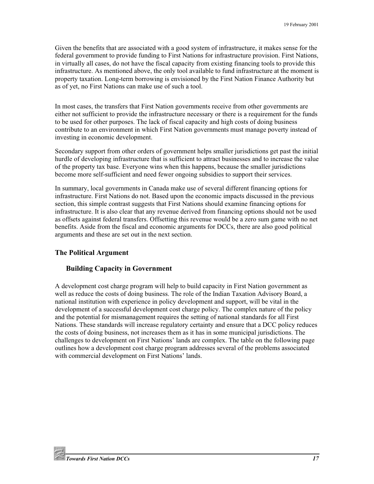<span id="page-22-0"></span>Given the benefits that are associated with a good system of infrastructure, it makes sense for the federal government to provide funding to First Nations for infrastructure provision. First Nations, in virtually all cases, do not have the fiscal capacity from existing financing tools to provide this infrastructure. As mentioned above, the only tool available to fund infrastructure at the moment is property taxation. Long-term borrowing is envisioned by the First Nation Finance Authority but as of yet, no First Nations can make use of such a tool.

In most cases, the transfers that First Nation governments receive from other governments are either not sufficient to provide the infrastructure necessary or there is a requirement for the funds to be used for other purposes. The lack of fiscal capacity and high costs of doing business contribute to an environment in which First Nation governments must manage poverty instead of investing in economic development.

Secondary support from other orders of government helps smaller jurisdictions get past the initial hurdle of developing infrastructure that is sufficient to attract businesses and to increase the value of the property tax base. Everyone wins when this happens, because the smaller jurisdictions become more self-sufficient and need fewer ongoing subsidies to support their services.

In summary, local governments in Canada make use of several different financing options for infrastructure. First Nations do not. Based upon the economic impacts discussed in the previous section, this simple contrast suggests that First Nations should examine financing options for infrastructure. It is also clear that any revenue derived from financing options should not be used as offsets against federal transfers. Offsetting this revenue would be a zero sum game with no net benefits. Aside from the fiscal and economic arguments for DCCs, there are also good political arguments and these are set out in the next section.

#### **The Political Argument**

#### **Building Capacity in Government**

A development cost charge program will help to build capacity in First Nation government as well as reduce the costs of doing business. The role of the Indian Taxation Advisory Board, a national institution with experience in policy development and support, will be vital in the development of a successful development cost charge policy. The complex nature of the policy and the potential for mismanagement requires the setting of national standards for all First Nations. These standards will increase regulatory certainty and ensure that a DCC policy reduces the costs of doing business, not increases them as it has in some municipal jurisdictions. The challenges to development on First Nations' lands are complex. The table on the following page outlines how a development cost charge program addresses several of the problems associated with commercial development on First Nations' lands.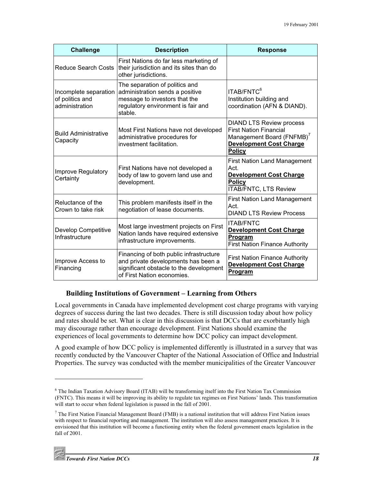<span id="page-23-0"></span>

| <b>Challenge</b><br><b>Description</b>                     |                                                                                                                                                         | <b>Response</b>                                                                                                                                              |
|------------------------------------------------------------|---------------------------------------------------------------------------------------------------------------------------------------------------------|--------------------------------------------------------------------------------------------------------------------------------------------------------------|
| <b>Reduce Search Costs</b>                                 | First Nations do far less marketing of<br>their jurisdiction and its sites than do<br>other jurisdictions.                                              |                                                                                                                                                              |
| Incomplete separation<br>of politics and<br>administration | The separation of politics and<br>administration sends a positive<br>message to investors that the<br>regulatory environment is fair and<br>stable.     | ITAB/FNTC <sup>6</sup><br>Institution building and<br>coordination (AFN & DIAND).                                                                            |
| <b>Build Administrative</b><br>Capacity                    | Most First Nations have not developed<br>administrative procedures for<br>investment facilitation.                                                      | <b>DIAND LTS Review process</b><br><b>First Nation Financial</b><br>Management Board (FNFMB) <sup>7</sup><br><b>Development Cost Charge</b><br><b>Policy</b> |
| <b>Improve Regulatory</b><br>Certainty                     | First Nations have not developed a<br>body of law to govern land use and<br>development.                                                                | <b>First Nation Land Management</b><br>Act.<br><b>Development Cost Charge</b><br><b>Policy</b><br><b>ITAB/FNTC, LTS Review</b>                               |
| Reluctance of the<br>Crown to take risk                    | This problem manifests itself in the<br>negotiation of lease documents.                                                                                 | <b>First Nation Land Management</b><br>Act.<br><b>DIAND LTS Review Process</b>                                                                               |
| <b>Develop Competitive</b><br>Infrastructure               | Most large investment projects on First<br>Nation lands have required extensive<br>infrastructure improvements.                                         | <b>ITAB/FNTC</b><br><b>Development Cost Charge</b><br>Program<br><b>First Nation Finance Authority</b>                                                       |
| Improve Access to<br>Financing                             | Financing of both public infrastructure<br>and private developments has been a<br>significant obstacle to the development<br>of First Nation economies. | <b>First Nation Finance Authority</b><br><b>Development Cost Charge</b><br>Program                                                                           |

#### **Building Institutions of Government – Learning from Others**

Local governments in Canada have implemented development cost charge programs with varying degrees of success during the last two decades. There is still discussion today about how policy and rates should be set. What is clear in this discussion is that DCCs that are exorbitantly high may discourage rather than encourage development. First Nations should examine the experiences of local governments to determine how DCC policy can impact development.

A good example of how DCC policy is implemented differently is illustrated in a survey that was recently conducted by the Vancouver Chapter of the National Association of Office and Industrial Properties. The survey was conducted with the member municipalities of the Greater Vancouver

<sup>&</sup>lt;sup>6</sup> The Indian Taxation Advisory Board (ITAB) will be transforming itself into the First Nation Tax Commission (FNTC). This means it will be improving its ability to regulate tax regimes on First Nations' lands. This transformation will start to occur when federal legislation is passed in the fall of 2001.

 $7$  The First Nation Financial Management Board (FMB) is a national institution that will address First Nation issues with respect to financial reporting and management. The institution will also assess management practices. It is envisioned that this institution will become a functioning entity when the federal government enacts legislation in the fall of 2001.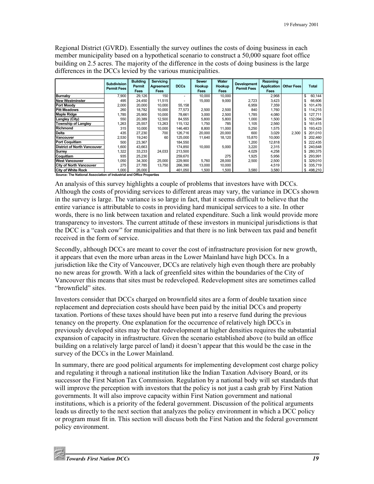Regional District (GVRD). Essentially the survey outlines the costs of doing business in each member municipality based on a hypothetical scenario to construct a 50,000 square foot office building on 2.5 acres. The majority of the difference in the costs of doing business is the large differences in the DCCs levied by the various municipalities.

|                                    | <b>Subdivision</b><br><b>Permit Fees</b> | <b>Building</b><br>Permit<br>Fees | <b>Servicing</b><br>Agreement<br>Fees | <b>DCCs</b> | Sewer<br><b>Hookup</b><br>Fees | Water<br>Hookup<br>Fees | <b>Development</b><br><b>Permit Fees</b> | Rezoning<br><b>Application</b><br>Fees | <b>Other Fees</b> | Total         |
|------------------------------------|------------------------------------------|-----------------------------------|---------------------------------------|-------------|--------------------------------|-------------------------|------------------------------------------|----------------------------------------|-------------------|---------------|
| <b>Burnaby</b>                     | 7,900                                    | 29,126                            | 150                                   | -           | 10,000                         | 10,000                  |                                          | 2,968                                  |                   | 60,144<br>\$  |
| <b>New Westminster</b>             | 495                                      | 24.450                            | 11.515                                |             | 15,000                         | 9,000                   | 2,723                                    | 3,423                                  |                   | 66,606        |
| <b>Port Moodv</b>                  | 2,000                                    | 20,000                            | 10,000                                | 55,158      |                                |                         | 6,959                                    | 7,359                                  |                   | \$<br>101,476 |
| <b>Pitt Meadows</b>                | 260                                      | 18,782                            | 10,000                                | 77,573      | 2,500                          | 2,500                   | 840                                      | 1,760                                  |                   | \$<br>114,215 |
| <b>Maple Ridge</b>                 | 1,785                                    | 25.900                            | 10.000                                | 78.661      | 3,000                          | 2.500                   | 1,785                                    | 4,080                                  |                   | \$<br>127,711 |
| Langley (City)                     | 550                                      | 20,389                            | 12,500                                | 84,555      | 5,800                          | 5,800                   | 1,000                                    | 1,500                                  |                   | 132,094<br>\$ |
| <b>Township of Langley</b>         | 1,263                                    | 25,557                            | 13,263                                | 115.132     | 1,750                          | 785                     | 1,105                                    | 2,560                                  |                   | \$<br>161,415 |
| Richmond                           | 315                                      | 10,000                            | 10,000                                | 146,483     | 8,800                          | 11,000                  | 5,250                                    | 1,575                                  |                   | \$193,423     |
| <b>Delta</b>                       | 435                                      | 27,230                            | 700                                   | 126,716     | 20,000                         | 20,000                  | 600                                      | 3,029                                  | 2,300             | \$201,010     |
| Vancouver                          | 2,530                                    | 19.240                            | 60                                    | 125.000     | 11.640                         | 18,120                  | 15,870                                   | 10,000                                 |                   | 202.460       |
| <b>Port Coquitlam</b>              | 500                                      | 23,367                            |                                       | 184.550     |                                |                         | 1,200                                    | 12,818                                 |                   | \$<br>222,435 |
| <b>District of North Vancouver</b> | 1,600                                    | 43,663                            |                                       | 174.850     | 10.000                         | 5,000                   | 3,220                                    | 2,315                                  |                   | \$<br>240,648 |
| <b>Surrey</b>                      | 1,322                                    | 33,233                            | 24,033                                | 213,500     |                                |                         | 4,029                                    | 4,258                                  |                   | \$280,375     |
| Coquitlam                          | 935                                      | 25,230                            |                                       | 259,670     |                                | 275                     | 1,925                                    | 5,956                                  |                   | 293,991       |
| <b>West Vancouver</b>              | 1,050                                    | 34,300                            | 25,000                                | 229.900     | 5.760                          | 28,000                  | 2,500                                    | 2,500                                  |                   | \$<br>329,010 |
| <b>City of North Vancouver</b>     | 275                                      | 27,785                            | 13,750                                | 266,390     | 13,000                         | 10,000                  |                                          | 4,519                                  |                   | \$335,719     |
| <b>City of White Rock</b>          | 1.000                                    | 26,000                            |                                       | 461.050     | 1.500                          | 1.500                   | 3.580                                    | 3,580                                  |                   | \$<br>498,210 |

**Source: The National Association of Industrial and Office Properties**

An analysis of this survey highlights a couple of problems that investors have with DCCs. Although the costs of providing services to different areas may vary, the variance in DCCs shown in the survey is large. The variance is so large in fact, that it seems difficult to believe that the entire variance is attributable to costs in providing hard municipal services to a site. In other words, there is no link between taxation and related expenditure. Such a link would provide more transparency to investors. The current attitude of these investors in municipal jurisdictions is that the DCC is a "cash cow" for municipalities and that there is no link between tax paid and benefit received in the form of service.

Secondly, although DCCs are meant to cover the cost of infrastructure provision for new growth, it appears that even the more urban areas in the Lower Mainland have high DCCs. In a jurisdiction like the City of Vancouver, DCCs are relatively high even though there are probably no new areas for growth. With a lack of greenfield sites within the boundaries of the City of Vancouver this means that sites must be redeveloped. Redevelopment sites are sometimes called "brownfield" sites.

Investors consider that DCCs charged on brownfield sites are a form of double taxation since replacement and depreciation costs should have been paid by the initial DCCs and property taxation. Portions of these taxes should have been put into a reserve fund during the previous tenancy on the property. One explanation for the occurrence of relatively high DCCs in previously developed sites may be that redevelopment at higher densities requires the substantial expansion of capacity in infrastructure. Given the scenario established above (to build an office building on a relatively large parcel of land) it doesn't appear that this would be the case in the survey of the DCCs in the Lower Mainland.

In summary, there are good political arguments for implementing development cost charge policy and regulating it through a national institution like the Indian Taxation Advisory Board, or its successor the First Nation Tax Commission. Regulation by a national body will set standards that will improve the perception with investors that the policy is not just a cash grab by First Nation governments. It will also improve capacity within First Nation government and national institutions, which is a priority of the federal government. Discussion of the political arguments leads us directly to the next section that analyzes the policy environment in which a DCC policy or program must fit in. This section will discuss both the First Nation and the federal government policy environment.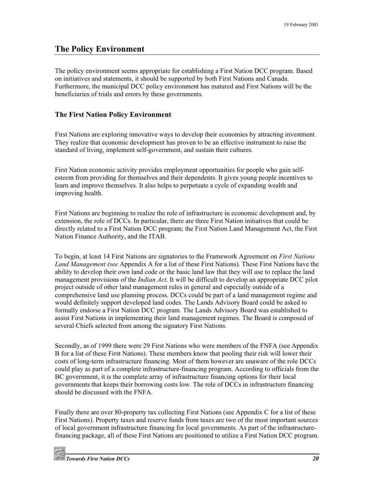# <span id="page-25-0"></span>**The Policy Environment**

The policy environment seems appropriate for establishing a First Nation DCC program. Based on initiatives and statements, it should be supported by both First Nations and Canada. Furthermore, the municipal DCC policy environment has matured and First Nations will be the beneficiaries of trials and errors by these governments.

### **The First Nation Policy Environment**

First Nations are exploring innovative ways to develop their economies by attracting investment. They realize that economic development has proven to be an effective instrument to raise the standard of living, implement self-government, and sustain their cultures.

First Nation economic activity provides employment opportunities for people who gain selfesteem from providing for themselves and their dependents. It gives young people incentives to learn and improve themselves. It also helps to perpetuate a cycle of expanding wealth and improving health.

First Nations are beginning to realize the role of infrastructure in economic development and, by extension, the role of DCCs. In particular, there are three First Nation initiatives that could be directly related to a First Nation DCC program; the First Nation Land Management Act, the First Nation Finance Authority, and the ITAB.

To begin, at least 14 First Nations are signatories to the Framework Agreement on *First Nations Land Management (see* Appendix A for a list of these First Nations). These First Nations have the ability to develop their own land code or the basic land law that they will use to replace the land management provisions of the *Indian Act*. It will be difficult to develop an appropriate DCC pilot project outside of other land management rules in general and especially outside of a comprehensive land use planning process. DCCs could be part of a land management regime and would definitely support developed land codes. The Lands Advisory Board could be asked to formally endorse a First Nation DCC program. The Lands Advisory Board was established to assist First Nations in implementing their land management regimes. The Board is composed of several Chiefs selected from among the signatory First Nations.

Secondly, as of 1999 there were 29 First Nations who were members of the FNFA (see Appendix B for a list of these First Nations). These members know that pooling their risk will lower their costs of long-term infrastructure financing. Most of them however are unaware of the role DCCs could play as part of a complete infrastructure-financing program. According to officials from the BC government, it is the complete array of infrastructure financing options for their local governments that keeps their borrowing costs low. The role of DCCs in infrastructure financing should be discussed with the FNFA.

Finally there are over 80-property tax collecting First Nations (see Appendix C for a list of these First Nations). Property taxes and reserve funds from taxes are two of the most important sources of local government infrastructure financing for local governments. As part of the infrastructurefinancing package, all of these First Nations are positioned to utilize a First Nation DCC program.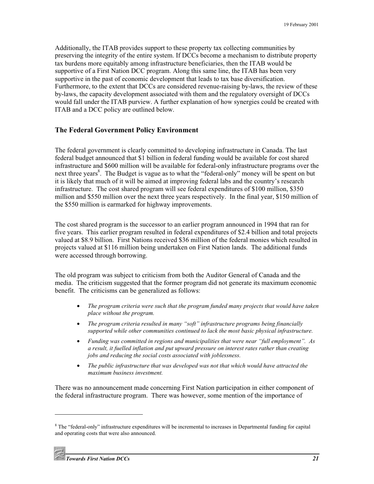<span id="page-26-0"></span>Additionally, the ITAB provides support to these property tax collecting communities by preserving the integrity of the entire system. If DCCs become a mechanism to distribute property tax burdens more equitably among infrastructure beneficiaries, then the ITAB would be supportive of a First Nation DCC program. Along this same line, the ITAB has been very supportive in the past of economic development that leads to tax base diversification. Furthermore, to the extent that DCCs are considered revenue-raising by-laws, the review of these by-laws, the capacity development associated with them and the regulatory oversight of DCCs would fall under the ITAB purview. A further explanation of how synergies could be created with ITAB and a DCC policy are outlined below.

#### **The Federal Government Policy Environment**

The federal government is clearly committed to developing infrastructure in Canada. The last federal budget announced that \$1 billion in federal funding would be available for cost shared infrastructure and \$600 million will be available for federal-only infrastructure programs over the next three years<sup>8</sup>. The Budget is vague as to what the "federal-only" money will be spent on but it is likely that much of it will be aimed at improving federal labs and the country's research infrastructure. The cost shared program will see federal expenditures of \$100 million, \$350 million and \$550 million over the next three years respectively. In the final year, \$150 million of the \$550 million is earmarked for highway improvements.

The cost shared program is the successor to an earlier program announced in 1994 that ran for five years. This earlier program resulted in federal expenditures of \$2.4 billion and total projects valued at \$8.9 billion. First Nations received \$36 million of the federal monies which resulted in projects valued at \$116 million being undertaken on First Nation lands. The additional funds were accessed through borrowing.

The old program was subject to criticism from both the Auditor General of Canada and the media. The criticism suggested that the former program did not generate its maximum economic benefit. The criticisms can be generalized as follows:

- *The program criteria were such that the program funded many projects that would have taken place without the program.*
- *The program criteria resulted in many "soft" infrastructure programs being financially supported while other communities continued to lack the most basic physical infrastructure.*
- *Funding was committed in regions and municipalities that were near "full employment". As a result, it fuelled inflation and put upward pressure on interest rates rather than creating jobs and reducing the social costs associated with joblessness.*
- *The public infrastructure that was developed was not that which would have attracted the maximum business investment.*

There was no announcement made concerning First Nation participation in either component of the federal infrastructure program. There was however, some mention of the importance of

 $8$  The "federal-only" infrastructure expenditures will be incremental to increases in Departmental funding for capital and operating costs that were also announced.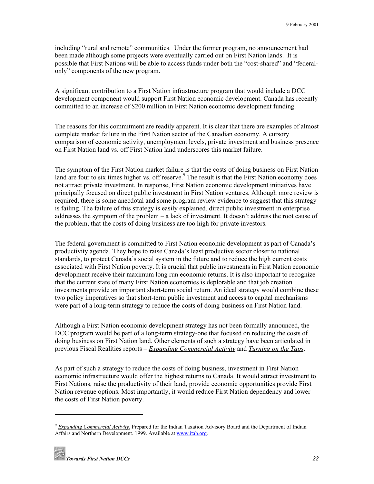including "rural and remote" communities. Under the former program, no announcement had been made although some projects were eventually carried out on First Nation lands. It is possible that First Nations will be able to access funds under both the "cost-shared" and "federalonly" components of the new program.

A significant contribution to a First Nation infrastructure program that would include a DCC development component would support First Nation economic development. Canada has recently committed to an increase of \$200 million in First Nation economic development funding.

The reasons for this commitment are readily apparent. It is clear that there are examples of almost complete market failure in the First Nation sector of the Canadian economy. A cursory comparison of economic activity, unemployment levels, private investment and business presence on First Nation land vs. off First Nation land underscores this market failure.

The symptom of the First Nation market failure is that the costs of doing business on First Nation land are four to six times higher vs. off reserve.<sup>9</sup> The result is that the First Nation economy does not attract private investment. In response, First Nation economic development initiatives have principally focused on direct public investment in First Nation ventures. Although more review is required, there is some anecdotal and some program review evidence to suggest that this strategy is failing. The failure of this strategy is easily explained, direct public investment in enterprise addresses the symptom of the problem – a lack of investment. It doesn't address the root cause of the problem, that the costs of doing business are too high for private investors.

The federal government is committed to First Nation economic development as part of Canada's productivity agenda. They hope to raise Canada's least productive sector closer to national standards, to protect Canada's social system in the future and to reduce the high current costs associated with First Nation poverty. It is crucial that public investments in First Nation economic development receive their maximum long run economic returns. It is also important to recognize that the current state of many First Nation economies is deplorable and that job creation investments provide an important short-term social return. An ideal strategy would combine these two policy imperatives so that short-term public investment and access to capital mechanisms were part of a long-term strategy to reduce the costs of doing business on First Nation land.

Although a First Nation economic development strategy has not been formally announced, the DCC program would be part of a long-term strategy-one that focused on reducing the costs of doing business on First Nation land. Other elements of such a strategy have been articulated in previous Fiscal Realities reports – *Expanding Commercial Activity* and *Turning on the Taps*.

As part of such a strategy to reduce the costs of doing business, investment in First Nation economic infrastructure would offer the highest returns to Canada. It would attract investment to First Nations, raise the productivity of their land, provide economic opportunities provide First Nation revenue options. Most importantly, it would reduce First Nation dependency and lower the costs of First Nation poverty.

<sup>9</sup> *Expanding Commercial Activity*. Prepared for the Indian Taxation Advisory Board and the Department of Indian Affairs and Northern Development. 1999. Available at [www.itab.org.](www.itab.ca)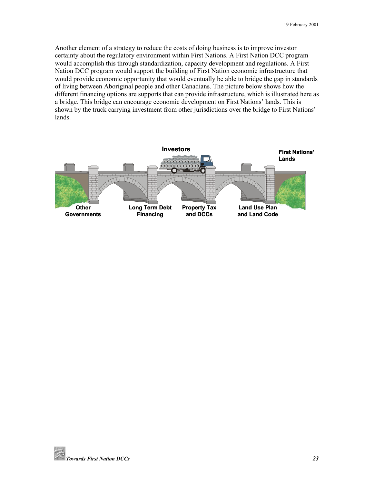Another element of a strategy to reduce the costs of doing business is to improve investor certainty about the regulatory environment within First Nations. A First Nation DCC program would accomplish this through standardization, capacity development and regulations. A First Nation DCC program would support the building of First Nation economic infrastructure that would provide economic opportunity that would eventually be able to bridge the gap in standards of living between Aboriginal people and other Canadians. The picture below shows how the different financing options are supports that can provide infrastructure, which is illustrated here as a bridge. This bridge can encourage economic development on First Nations' lands. This is shown by the truck carrying investment from other jurisdictions over the bridge to First Nations' lands.

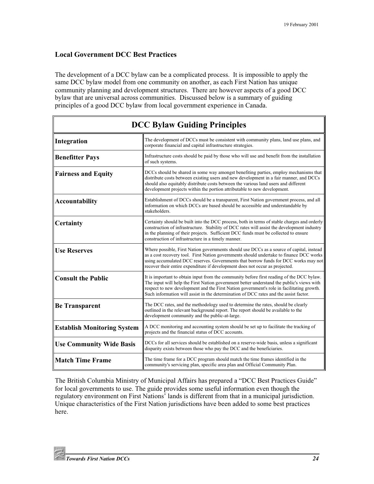### <span id="page-29-0"></span>**Local Government DCC Best Practices**

The development of a DCC bylaw can be a complicated process. It is impossible to apply the same DCC bylaw model from one community on another, as each First Nation has unique community planning and development structures. There are however aspects of a good DCC bylaw that are universal across communities. Discussed below is a summary of guiding principles of a good DCC bylaw from local government experience in Canada.

| <b>DCC Bylaw Guiding Principles</b> |                                                                                                                                                                                                                                                                                                                                                                              |  |  |  |
|-------------------------------------|------------------------------------------------------------------------------------------------------------------------------------------------------------------------------------------------------------------------------------------------------------------------------------------------------------------------------------------------------------------------------|--|--|--|
| Integration                         | The development of DCCs must be consistent with community plans, land use plans, and<br>corporate financial and capital infrastructure strategies.                                                                                                                                                                                                                           |  |  |  |
| <b>Benefitter Pays</b>              | Infrastructure costs should be paid by those who will use and benefit from the installation<br>of such systems.                                                                                                                                                                                                                                                              |  |  |  |
| <b>Fairness and Equity</b>          | DCCs should be shared in some way amongst benefiting parties, employ mechanisms that<br>distribute costs between existing users and new development in a fair manner, and DCCs<br>should also equitably distribute costs between the various land users and different<br>development projects within the portion attributable to new development.                            |  |  |  |
| Accountability                      | Establishment of DCCs should be a transparent, First Nation government process, and all<br>information on which DCCs are based should be accessible and understandable by<br>stakeholders.                                                                                                                                                                                   |  |  |  |
| <b>Certainty</b>                    | Certainty should be built into the DCC process, both in terms of stable charges and orderly<br>construction of infrastructure. Stability of DCC rates will assist the development industry<br>in the planning of their projects. Sufficient DCC funds must be collected to ensure<br>construction of infrastructure in a timely manner.                                      |  |  |  |
| <b>Use Reserves</b>                 | Where possible, First Nation governments should use DCCs as a source of capital, instead<br>as a cost recovery tool. First Nation governments should undertake to finance DCC works<br>using accumulated DCC reserves. Governments that borrow funds for DCC works may not<br>recover their entire expenditure if development does not occur as projected.                   |  |  |  |
| <b>Consult the Public</b>           | It is important to obtain input from the community before first reading of the DCC bylaw.<br>The input will help the First Nation government better understand the public's views with<br>respect to new development and the First Nation government's role in facilitating growth.<br>Such information will assist in the determination of DCC rates and the assist factor. |  |  |  |
| <b>Be Transparent</b>               | The DCC rates, and the methodology used to determine the rates, should be clearly<br>outlined in the relevant background report. The report should be available to the<br>development community and the public-at-large.                                                                                                                                                     |  |  |  |
| <b>Establish Monitoring System</b>  | A DCC monitoring and accounting system should be set up to facilitate the tracking of<br>projects and the financial status of DCC accounts.                                                                                                                                                                                                                                  |  |  |  |
| <b>Use Community Wide Basis</b>     | DCCs for all services should be established on a reserve-wide basis, unless a significant<br>disparity exists between those who pay the DCC and the beneficiaries.                                                                                                                                                                                                           |  |  |  |
| <b>Match Time Frame</b>             | The time frame for a DCC program should match the time frames identified in the<br>community's servicing plan, specific area plan and Official Community Plan.                                                                                                                                                                                                               |  |  |  |

The British Columbia Ministry of Municipal Affairs has prepared a "DCC Best Practices Guide" for local governments to use. The guide provides some useful information even though the regulatory environment on First Nations' lands is different from that in a municipal jurisdiction. Unique characteristics of the First Nation jurisdictions have been added to some best practices here.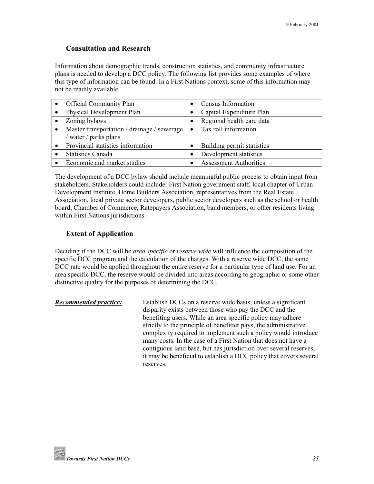### <span id="page-30-0"></span>**Consultation and Research**

Information about demographic trends, construction statistics, and community infrastructure plans is needed to develop a DCC policy. The following list provides some examples of where this type of information can be found. In a First Nations context, some of this information may not be readily available.

| <b>Official Community Plan</b>                                     |           | Census Information            |
|--------------------------------------------------------------------|-----------|-------------------------------|
| Physical Development Plan                                          |           | Capital Expenditure Plan      |
| Zoning bylaws                                                      |           | Regional health care data     |
| Master transportation / drainage / sewerage<br>water / parks plans | $\bullet$ | Tax roll information          |
| Provincial statistics information                                  |           | Building permit statistics    |
| <b>Statistics Canada</b>                                           |           | Development statistics        |
| Economic and market studies                                        |           | <b>Assessment Authorities</b> |

The development of a DCC bylaw should include meaningful public process to obtain input from stakeholders. Stakeholders could include: First Nation government staff, local chapter of Urban Development Institute, Home Builders Association, representatives from the Real Estate Association, local private sector developers, public sector developers such as the school or health board, Chamber of Commerce, Ratepayers Association, band members, or other residents living within First Nations jurisdictions.

# **Extent of Application**

Deciding if the DCC will be *area specific* or *reserve wide* will influence the composition of the specific DCC program and the calculation of the charges. With a reserve wide DCC, the same DCC rate would be applied throughout the entire reserve for a particular type of land use. For an area specific DCC, the reserve would be divided into areas according to geographic or some other distinctive quality for the purposes of determining the DCC.

*Recommended practice:* Establish DCCs on a reserve wide basis, unless a significant disparity exists between those who pay the DCC and the benefiting users. While an area specific policy may adhere strictly to the principle of benefitter pays, the administrative complexity required to implement such a policy would introduce many costs. In the case of a First Nation that does not have a contiguous land base, but has jurisdiction over several reserves, it may be beneficial to establish a DCC policy that covers several reserves.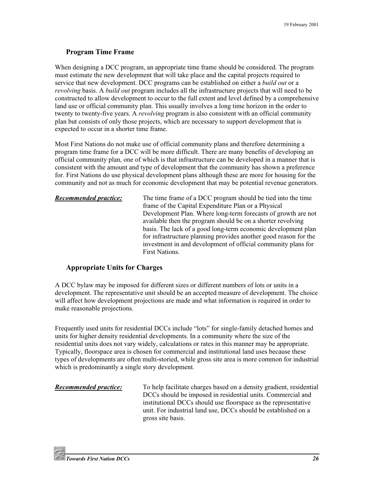### <span id="page-31-0"></span>**Program Time Frame**

When designing a DCC program, an appropriate time frame should be considered. The program must estimate the new development that will take place and the capital projects required to service that new development. DCC programs can be established on either a *build out* or a *revolving* basis. A *build out* program includes all the infrastructure projects that will need to be constructed to allow development to occur to the full extent and level defined by a comprehensive land use or official community plan. This usually involves a long time horizon in the order to twenty to twenty-five years. A *revolving* program is also consistent with an official community plan but consists of only those projects, which are necessary to support development that is expected to occur in a shorter time frame.

Most First Nations do not make use of official community plans and therefore determining a program time frame for a DCC will be more difficult. There are many benefits of developing an official community plan, one of which is that infrastructure can be developed in a manner that is consistent with the amount and type of development that the community has shown a preference for. First Nations do use physical development plans although these are more for housing for the community and not as much for economic development that may be potential revenue generators.

*Recommended practice:* The time frame of a DCC program should be tied into the time frame of the Capital Expenditure Plan or a Physical Development Plan. Where long-term forecasts of growth are not available then the program should be on a shorter revolving basis. The lack of a good long-term economic development plan for infrastructure planning provides another good reason for the investment in and development of official community plans for First Nations.

#### **Appropriate Units for Charges**

A DCC bylaw may be imposed for different sizes or different numbers of lots or units in a development. The representative unit should be an accepted measure of development. The choice will affect how development projections are made and what information is required in order to make reasonable projections.

Frequently used units for residential DCCs include "lots" for single-family detached homes and units for higher density residential developments. In a community where the size of the residential units does not vary widely, calculations or rates in this manner may be appropriate. Typically, floorspace area is chosen for commercial and institutional land uses because these types of developments are often multi-storied, while gross site area is more common for industrial which is predominantly a single story development.

*Recommended practice:* To help facilitate charges based on a density gradient, residential DCCs should be imposed in residential units. Commercial and institutional DCCs should use floorspace as the representative unit. For industrial land use, DCCs should be established on a gross site basis.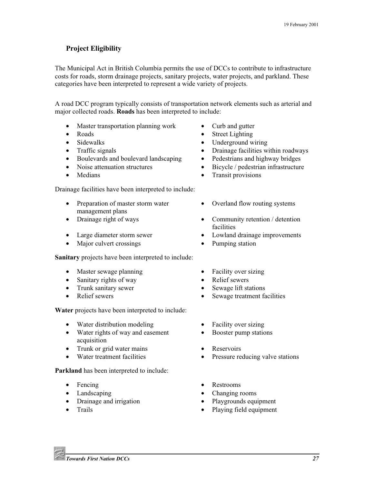# <span id="page-32-0"></span>**Project Eligibility**

The Municipal Act in British Columbia permits the use of DCCs to contribute to infrastructure costs for roads, storm drainage projects, sanitary projects, water projects, and parkland. These categories have been interpreted to represent a wide variety of projects.

A road DCC program typically consists of transportation network elements such as arterial and major collected roads. **Roads** has been interpreted to include:

- Master transportation planning work Curb and gutter
- 
- 
- 
- Boulevards and boulevard landscaping Pedestrians and highway bridges
- 
- 

Drainage facilities have been interpreted to include:

- Preparation of master storm water management plans
- 
- 
- Major culvert crossings Pumping station

**Sanitary** projects have been interpreted to include:

- Master sewage planning Facility over sizing
- Sanitary rights of way Relief sewers
- Trunk sanitary sewer Sewage lift stations
- 

**Water** projects have been interpreted to include:

- Water distribution modeling Facility over sizing
- Water rights of way and easement acquisition
- Trunk or grid water mains Reservoirs<br>• Water treatment facilities Pressure re
- 

**Parkland** has been interpreted to include:

- 
- 
- Drainage and irrigation Playgrounds equipment
- 
- 
- Roads Street Lighting
	- Sidewalks Underground wiring
- Traffic signals Drainage facilities within roadways
	-
- Noise attenuation structures Bicycle / pedestrian infrastructure
- Medians Transit provisions
	- Overland flow routing systems
- Drainage right of ways **•** Community retention / detention facilities
- Large diameter storm sewer Lowland drainage improvements
	-
	-
	-
	-
- Relief sewers Sewage treatment facilities
	-
	- Booster pump stations
	-
	- Pressure reducing valve stations
- Fencing Restrooms
- Landscaping Changing rooms
	-
- Trails Playing field equipment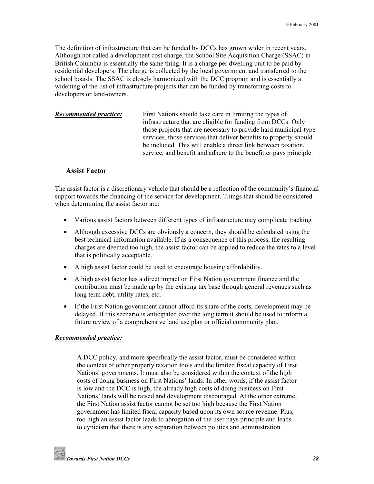<span id="page-33-0"></span>The definition of infrastructure that can be funded by DCCs has grown wider in recent years. Although not called a development cost charge, the School Site Acquisition Charge (SSAC) in British Columbia is essentially the same thing. It is a charge per dwelling unit to be paid by residential developers. The charge is collected by the local government and transferred to the school boards. The SSAC is closely harmonized with the DCC program and is essentially a widening of the list of infrastructure projects that can be funded by transferring costs to developers or land-owners.

*Recommended practice:* First Nations should take care in limiting the types of infrastructure that are eligible for funding from DCCs. Only those projects that are necessary to provide hard municipal-type services, those services that deliver benefits to property should be included. This will enable a direct link between taxation, service, and benefit and adhere to the benefitter pays principle.

#### **Assist Factor**

The assist factor is a discretionary vehicle that should be a reflection of the community's financial support towards the financing of the service for development. Things that should be considered when determining the assist factor are:

- Various assist factors between different types of infrastructure may complicate tracking
- Although excessive DCCs are obviously a concern, they should be calculated using the best technical information available. If as a consequence of this process, the resulting charges are deemed too high, the assist factor can be applied to reduce the rates to a level that is politically acceptable.
- A high assist factor could be used to encourage housing affordability.
- A high assist factor has a direct impact on First Nation government finance and the contribution must be made up by the existing tax base through general revenues such as long term debt, utility rates, etc.
- If the First Nation government cannot afford its share of the costs, development may be delayed. If this scenario is anticipated over the long term it should be used to inform a future review of a comprehensive land use plan or official community plan.

#### *Recommended practice:*

A DCC policy, and more specifically the assist factor, must be considered within the context of other property taxation tools and the limited fiscal capacity of First Nations' governments. It must also be considered within the context of the high costs of doing business on First Nations' lands. In other words, if the assist factor is low and the DCC is high, the already high costs of doing business on First Nations' lands will be raised and development discouraged. At the other extreme, the First Nation assist factor cannot be set too high because the First Nation government has limited fiscal capacity based upon its own source revenue. Plus, too high an assist factor leads to abrogation of the user pays principle and leads to cynicism that there is any separation between politics and administration.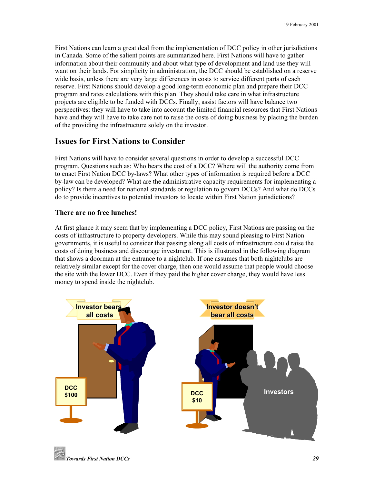<span id="page-34-0"></span>First Nations can learn a great deal from the implementation of DCC policy in other jurisdictions in Canada. Some of the salient points are summarized here. First Nations will have to gather information about their community and about what type of development and land use they will want on their lands. For simplicity in administration, the DCC should be established on a reserve wide basis, unless there are very large differences in costs to service different parts of each reserve. First Nations should develop a good long-term economic plan and prepare their DCC program and rates calculations with this plan. They should take care in what infrastructure projects are eligible to be funded with DCCs. Finally, assist factors will have balance two perspectives: they will have to take into account the limited financial resources that First Nations have and they will have to take care not to raise the costs of doing business by placing the burden of the providing the infrastructure solely on the investor.

#### **Issues for First Nations to Consider**

First Nations will have to consider several questions in order to develop a successful DCC program. Questions such as: Who bears the cost of a DCC? Where will the authority come from to enact First Nation DCC by-laws? What other types of information is required before a DCC by-law can be developed? What are the administrative capacity requirements for implementing a policy? Is there a need for national standards or regulation to govern DCCs? And what do DCCs do to provide incentives to potential investors to locate within First Nation jurisdictions?

#### **There are no free lunches!**

At first glance it may seem that by implementing a DCC policy, First Nations are passing on the costs of infrastructure to property developers. While this may sound pleasing to First Nation governments, it is useful to consider that passing along all costs of infrastructure could raise the costs of doing business and discourage investment. This is illustrated in the following diagram that shows a doorman at the entrance to a nightclub. If one assumes that both nightclubs are relatively similar except for the cover charge, then one would assume that people would choose the site with the lower DCC. Even if they paid the higher cover charge, they would have less money to spend inside the nightclub.



*Towards First Nation DCCs 29*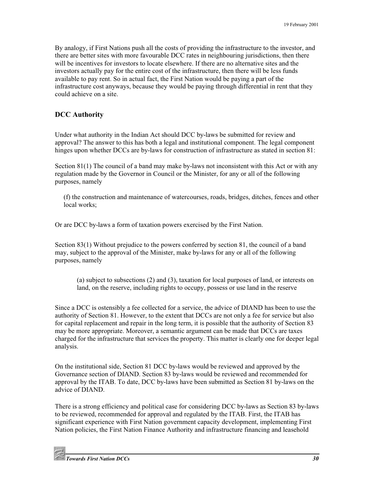<span id="page-35-0"></span>By analogy, if First Nations push all the costs of providing the infrastructure to the investor, and there are better sites with more favourable DCC rates in neighbouring jurisdictions, then there will be incentives for investors to locate elsewhere. If there are no alternative sites and the investors actually pay for the entire cost of the infrastructure, then there will be less funds available to pay rent. So in actual fact, the First Nation would be paying a part of the infrastructure cost anyways, because they would be paying through differential in rent that they could achieve on a site.

# **DCC Authority**

Under what authority in the Indian Act should DCC by-laws be submitted for review and approval? The answer to this has both a legal and institutional component. The legal component hinges upon whether DCCs are by-laws for construction of infrastructure as stated in section 81:

Section 81(1) The council of a band may make by-laws not inconsistent with this Act or with any regulation made by the Governor in Council or the Minister, for any or all of the following purposes, namely

(f) the construction and maintenance of watercourses, roads, bridges, ditches, fences and other local works;

Or are DCC by-laws a form of taxation powers exercised by the First Nation.

Section 83(1) Without prejudice to the powers conferred by section 81, the council of a band may, subject to the approval of the Minister, make by-laws for any or all of the following purposes, namely

(a) subject to subsections (2) and (3), taxation for local purposes of land, or interests on land, on the reserve, including rights to occupy, possess or use land in the reserve

Since a DCC is ostensibly a fee collected for a service, the advice of DIAND has been to use the authority of Section 81. However, to the extent that DCCs are not only a fee for service but also for capital replacement and repair in the long term, it is possible that the authority of Section 83 may be more appropriate. Moreover, a semantic argument can be made that DCCs are taxes charged for the infrastructure that services the property. This matter is clearly one for deeper legal analysis.

On the institutional side, Section 81 DCC by-laws would be reviewed and approved by the Governance section of DIAND. Section 83 by-laws would be reviewed and recommended for approval by the ITAB. To date, DCC by-laws have been submitted as Section 81 by-laws on the advice of DIAND.

There is a strong efficiency and political case for considering DCC by-laws as Section 83 by-laws to be reviewed, recommended for approval and regulated by the ITAB. First, the ITAB has significant experience with First Nation government capacity development, implementing First Nation policies, the First Nation Finance Authority and infrastructure financing and leasehold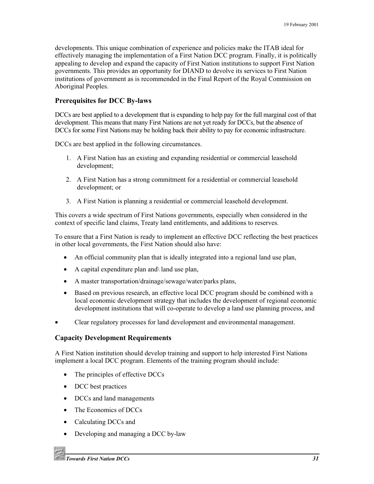<span id="page-36-0"></span>developments. This unique combination of experience and policies make the ITAB ideal for effectively managing the implementation of a First Nation DCC program. Finally, it is politically appealing to develop and expand the capacity of First Nation institutions to support First Nation governments. This provides an opportunity for DIAND to devolve its services to First Nation institutions of government as is recommended in the Final Report of the Royal Commission on Aboriginal Peoples.

### **Prerequisites for DCC By-laws**

DCCs are best applied to a development that is expanding to help pay for the full marginal cost of that development. This means that many First Nations are not yet ready for DCCs, but the absence of DCCs for some First Nations may be holding back their ability to pay for economic infrastructure.

DCCs are best applied in the following circumstances.

- 1. A First Nation has an existing and expanding residential or commercial leasehold development;
- 2. A First Nation has a strong commitment for a residential or commercial leasehold development; or
- 3. A First Nation is planning a residential or commercial leasehold development.

This covers a wide spectrum of First Nations governments, especially when considered in the context of specific land claims, Treaty land entitlements, and additions to reserves.

To ensure that a First Nation is ready to implement an effective DCC reflecting the best practices in other local governments, the First Nation should also have:

- An official community plan that is ideally integrated into a regional land use plan,
- A capital expenditure plan and\ land use plan,
- A master transportation/drainage/sewage/water/parks plans,
- Based on previous research, an effective local DCC program should be combined with a local economic development strategy that includes the development of regional economic development institutions that will co-operate to develop a land use planning process, and
- Clear regulatory processes for land development and environmental management.

#### **Capacity Development Requirements**

A First Nation institution should develop training and support to help interested First Nations implement a local DCC program. Elements of the training program should include:

- The principles of effective DCCs
- DCC best practices
- DCCs and land managements
- The Economics of DCCs
- Calculating DCCs and
- Developing and managing a DCC by-law

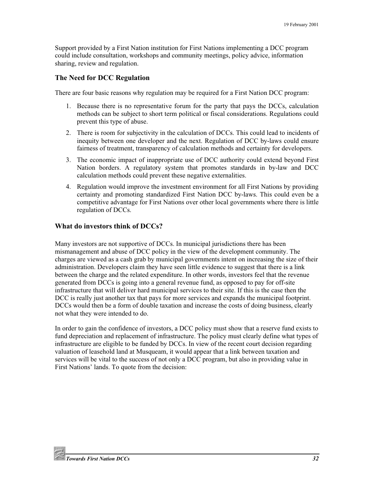<span id="page-37-0"></span>Support provided by a First Nation institution for First Nations implementing a DCC program could include consultation, workshops and community meetings, policy advice, information sharing, review and regulation.

#### **The Need for DCC Regulation**

There are four basic reasons why regulation may be required for a First Nation DCC program:

- 1. Because there is no representative forum for the party that pays the DCCs, calculation methods can be subject to short term political or fiscal considerations. Regulations could prevent this type of abuse.
- 2. There is room for subjectivity in the calculation of DCCs. This could lead to incidents of inequity between one developer and the next. Regulation of DCC by-laws could ensure fairness of treatment, transparency of calculation methods and certainty for developers.
- 3. The economic impact of inappropriate use of DCC authority could extend beyond First Nation borders. A regulatory system that promotes standards in by-law and DCC calculation methods could prevent these negative externalities.
- 4. Regulation would improve the investment environment for all First Nations by providing certainty and promoting standardized First Nation DCC by-laws. This could even be a competitive advantage for First Nations over other local governments where there is little regulation of DCCs.

#### **What do investors think of DCCs?**

Many investors are not supportive of DCCs. In municipal jurisdictions there has been mismanagement and abuse of DCC policy in the view of the development community. The charges are viewed as a cash grab by municipal governments intent on increasing the size of their administration. Developers claim they have seen little evidence to suggest that there is a link between the charge and the related expenditure. In other words, investors feel that the revenue generated from DCCs is going into a general revenue fund, as opposed to pay for off-site infrastructure that will deliver hard municipal services to their site. If this is the case then the DCC is really just another tax that pays for more services and expands the municipal footprint. DCCs would then be a form of double taxation and increase the costs of doing business, clearly not what they were intended to do.

In order to gain the confidence of investors, a DCC policy must show that a reserve fund exists to fund depreciation and replacement of infrastructure. The policy must clearly define what types of infrastructure are eligible to be funded by DCCs. In view of the recent court decision regarding valuation of leasehold land at Musqueam, it would appear that a link between taxation and services will be vital to the success of not only a DCC program, but also in providing value in First Nations' lands. To quote from the decision: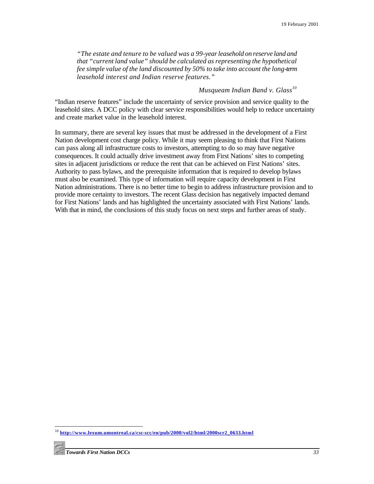*"The estate and tenure to be valued was a 99-year leasehold on reserve land and that "current land value" should be calculated as representing the hypothetical fee simple value of the land discounted by 50% to take into account the long-term leasehold interest and Indian reserve features."*

#### *Musqueam Indian Band v. Glass<sup>10</sup>*

"Indian reserve features" include the uncertainty of service provision and service quality to the leasehold sites. A DCC policy with clear service responsibilities would help to reduce uncertainty and create market value in the leasehold interest.

In summary, there are several key issues that must be addressed in the development of a First Nation development cost charge policy. While it may seem pleasing to think that First Nations can pass along all infrastructure costs to investors, attempting to do so may have negative consequences. It could actually drive investment away from First Nations' sites to competing sites in adjacent jurisdictions or reduce the rent that can be achieved on First Nations' sites. Authority to pass bylaws, and the prerequisite information that is required to develop bylaws must also be examined. This type of information will require capacity development in First Nation administrations. There is no better time to begin to address infrastructure provision and to provide more certainty to investors. The recent Glass decision has negatively impacted demand for First Nations' lands and has highlighted the uncertainty associated with First Nations' lands. With that in mind, the conclusions of this study focus on next steps and further areas of study.

 $\overline{a}$ <sup>10</sup> **[http://www.lexum.umontreal.ca/csc-scc/en/pub/2000/vol2/html/2000scr2\\_0633.html](http://www.lexum.umontreal.ca/csc-scc/en/pub/2000/vol2/html/2000scr2_0633.html)**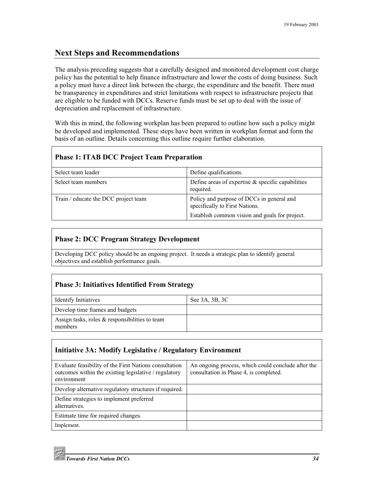# <span id="page-39-0"></span>**Next Steps and Recommendations**

The analysis preceding suggests that a carefully designed and monitored development cost charge policy has the potential to help finance infrastructure and lower the costs of doing business. Such a policy must have a direct link between the charge, the expenditure and the benefit. There must be transparency in expenditures and strict limitations with respect to infrastructure projects that are eligible to be funded with DCCs. Reserve funds must be set up to deal with the issue of depreciation and replacement of infrastructure.

With this in mind, the following workplan has been prepared to outline how such a policy might be developed and implemented. These steps have been written in workplan format and form the basis of an outline. Details concerning this outline require further elaboration.

#### **Phase 1: ITAB DCC Project Team Preparation**

| Select team leader                   | Define qualifications.                                                      |
|--------------------------------------|-----------------------------------------------------------------------------|
| Select team members                  | Define areas of expertise $\&$ specific capabilities<br>required.           |
| Train / educate the DCC project team | Policy and purpose of DCCs in general and<br>specifically to First Nations. |
|                                      | Establish common vision and goals for project.                              |

# **Phase 2: DCC Program Strategy Development**

Developing DCC policy should be an ongoing project. It needs a strategic plan to identify general objectives and establish performance goals.

# **Phase 3: Initiatives Identified From Strategy**

| <b>Identify Initiatives</b>                               | See 3A, 3B, 3C |
|-----------------------------------------------------------|----------------|
| Develop time frames and budgets                           |                |
| Assign tasks, roles & responsibilities to team<br>members |                |

# **Initiative 3A: Modify Legislative / Regulatory Environment**

| Evaluate feasibility of the First Nations consultation<br>outcomes within the existing legislative / regulatory<br>environment | An ongoing process, which could conclude after the<br>consultation in Phase 4, is completed. |
|--------------------------------------------------------------------------------------------------------------------------------|----------------------------------------------------------------------------------------------|
| Develop alternative regulatory structures if required.                                                                         |                                                                                              |
| Define strategies to implement preferred<br>alternatives.                                                                      |                                                                                              |
| Estimate time for required changes.                                                                                            |                                                                                              |
| Implement.                                                                                                                     |                                                                                              |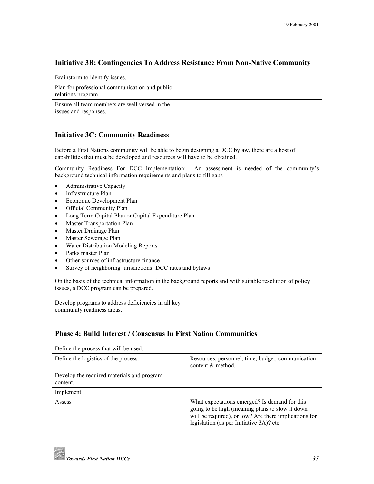# <span id="page-40-0"></span>**Initiative 3B: Contingencies To Address Resistance From Non-Native Community**

| Brainstorm to identify issues.                                          |  |
|-------------------------------------------------------------------------|--|
| Plan for professional communication and public<br>relations program.    |  |
| Ensure all team members are well versed in the<br>issues and responses. |  |

# **Initiative 3C: Community Readiness**

Before a First Nations community will be able to begin designing a DCC bylaw, there are a host of capabilities that must be developed and resources will have to be obtained.

Community Readiness For DCC Implementation: An assessment is needed of the community's background technical information requirements and plans to fill gaps

- Administrative Capacity
- Infrastructure Plan
- Economic Development Plan
- Official Community Plan
- Long Term Capital Plan or Capital Expenditure Plan
- Master Transportation Plan
- Master Drainage Plan
- Master Sewerage Plan
- Water Distribution Modeling Reports
- Parks master Plan
- Other sources of infrastructure finance
- Survey of neighboring jurisdictions' DCC rates and bylaws

On the basis of the technical information in the background reports and with suitable resolution of policy issues, a DCC program can be prepared.

| Develop programs to address deficiencies in all key |  |
|-----------------------------------------------------|--|
| community readiness areas.                          |  |

#### **Phase 4: Build Interest / Consensus In First Nation Communities**

| Define the process that will be used.                  |                                                                                                                                                                                                       |
|--------------------------------------------------------|-------------------------------------------------------------------------------------------------------------------------------------------------------------------------------------------------------|
| Define the logistics of the process.                   | Resources, personnel, time, budget, communication<br>content & method.                                                                                                                                |
| Develop the required materials and program<br>content. |                                                                                                                                                                                                       |
| Implement.                                             |                                                                                                                                                                                                       |
| Assess                                                 | What expectations emerged? Is demand for this<br>going to be high (meaning plans to slow it down<br>will be required), or low? Are there implications for<br>legislation (as per Initiative 3A)? etc. |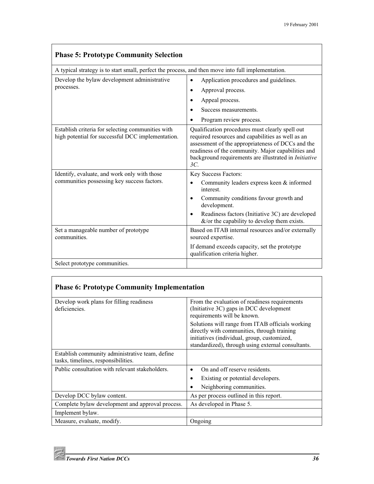<span id="page-41-0"></span>

| <b>Phase 5: Prototype Community Selection</b>                                                          |                                                                                                                                                                                                                                                                                |
|--------------------------------------------------------------------------------------------------------|--------------------------------------------------------------------------------------------------------------------------------------------------------------------------------------------------------------------------------------------------------------------------------|
| A typical strategy is to start small, perfect the process, and then move into full implementation.     |                                                                                                                                                                                                                                                                                |
| Develop the bylaw development administrative<br>processes.                                             | Application procedures and guidelines.<br>$\bullet$<br>Approval process.<br>$\bullet$<br>Appeal process.                                                                                                                                                                       |
|                                                                                                        | Success measurements.<br>Program review process.                                                                                                                                                                                                                               |
| Establish criteria for selecting communities with<br>high potential for successful DCC implementation. | Qualification procedures must clearly spell out<br>required resources and capabilities as well as an<br>assessment of the appropriateness of DCCs and the<br>readiness of the community. Major capabilities and<br>background requirements are illustrated in Initiative<br>3C |
| Identify, evaluate, and work only with those<br>communities possessing key success factors.            | Key Success Factors:<br>Community leaders express keen & informed<br>interest.<br>Community conditions favour growth and<br>$\bullet$<br>development.<br>Readiness factors (Initiative 3C) are developed<br>$\bullet$<br>$&$ /or the capability to develop them exists.        |
| Set a manageable number of prototype<br>communities.                                                   | Based on ITAB internal resources and/or externally<br>sourced expertise.<br>If demand exceeds capacity, set the prototype<br>qualification criteria higher.                                                                                                                    |
| Select prototype communities.                                                                          |                                                                                                                                                                                                                                                                                |

|  | <b>Phase 6: Prototype Community Implementation</b> |
|--|----------------------------------------------------|
|  |                                                    |

| Develop work plans for filling readiness<br>deficiencies.                              | From the evaluation of readiness requirements<br>(Initiative 3C) gaps in DCC development<br>requirements will be known.                                                                              |
|----------------------------------------------------------------------------------------|------------------------------------------------------------------------------------------------------------------------------------------------------------------------------------------------------|
|                                                                                        | Solutions will range from ITAB officials working<br>directly with communities, through training<br>initiatives (individual, group, customized,<br>standardized), through using external consultants. |
| Establish community administrative team, define<br>tasks, timelines, responsibilities. |                                                                                                                                                                                                      |
| Public consultation with relevant stakeholders.                                        | On and off reserve residents.<br>$\bullet$                                                                                                                                                           |
|                                                                                        | Existing or potential developers.                                                                                                                                                                    |
|                                                                                        | Neighboring communities.                                                                                                                                                                             |
| Develop DCC bylaw content.                                                             | As per process outlined in this report.                                                                                                                                                              |
| Complete bylaw development and approval process.                                       | As developed in Phase 5.                                                                                                                                                                             |
| Implement bylaw.                                                                       |                                                                                                                                                                                                      |
| Measure, evaluate, modify.                                                             | Ongoing                                                                                                                                                                                              |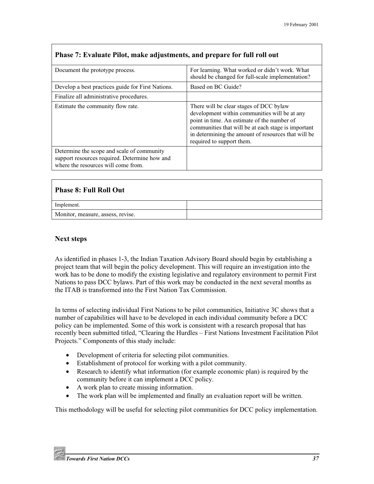| Document the prototype process.                                                                                                    | For learning. What worked or didn't work. What<br>should be changed for full-scale implementation?                                                                                                                                                                                 |
|------------------------------------------------------------------------------------------------------------------------------------|------------------------------------------------------------------------------------------------------------------------------------------------------------------------------------------------------------------------------------------------------------------------------------|
| Develop a best practices guide for First Nations.                                                                                  | Based on BC Guide?                                                                                                                                                                                                                                                                 |
| Finalize all administrative procedures.                                                                                            |                                                                                                                                                                                                                                                                                    |
| Estimate the community flow rate.                                                                                                  | There will be clear stages of DCC bylaw<br>development within communities will be at any<br>point in time. An estimate of the number of<br>communities that will be at each stage is important<br>in determining the amount of resources that will be<br>required to support them. |
| Determine the scope and scale of community<br>support resources required. Determine how and<br>where the resources will come from. |                                                                                                                                                                                                                                                                                    |

# <span id="page-42-0"></span>**Phase 7: Evaluate Pilot, make adjustments, and prepare for full roll out**

| <b>Phase 8: Full Roll Out</b>     |  |
|-----------------------------------|--|
| Implement.                        |  |
| Monitor, measure, assess, revise. |  |

#### **Next steps**

As identified in phases 1-3, the Indian Taxation Advisory Board should begin by establishing a project team that will begin the policy development. This will require an investigation into the work has to be done to modify the existing legislative and regulatory environment to permit First Nations to pass DCC bylaws. Part of this work may be conducted in the next several months as the ITAB is transformed into the First Nation Tax Commission.

In terms of selecting individual First Nations to be pilot communities, Initiative 3C shows that a number of capabilities will have to be developed in each individual community before a DCC policy can be implemented. Some of this work is consistent with a research proposal that has recently been submitted titled, "Clearing the Hurdles – First Nations Investment Facilitation Pilot Projects." Components of this study include:

- Development of criteria for selecting pilot communities.
- Establishment of protocol for working with a pilot community.
- Research to identify what information (for example economic plan) is required by the community before it can implement a DCC policy.
- A work plan to create missing information.
- The work plan will be implemented and finally an evaluation report will be written.

This methodology will be useful for selecting pilot communities for DCC policy implementation.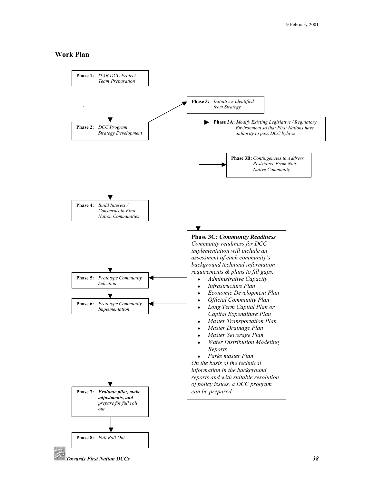#### <span id="page-43-0"></span>**Work Plan**



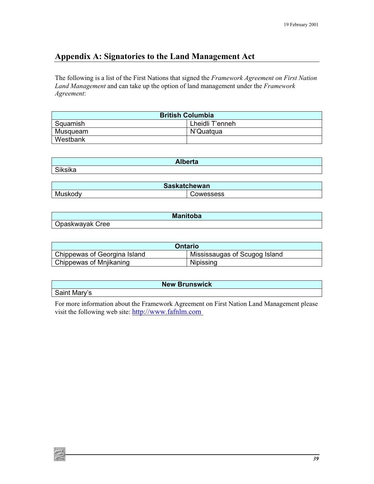# <span id="page-44-0"></span>**Appendix A: Signatories to the Land Management Act**

The following is a list of the First Nations that signed the *Framework Agreement on First Nation Land Management* and can take up the option of land management under the *Framework Agreement*:

| <b>British Columbia</b> |                 |  |
|-------------------------|-----------------|--|
| Squamish                | Lheidli T'enneh |  |
| Musqueam                | N'Quatqua       |  |
| Westbank                |                 |  |

| <b>Alberta</b> |
|----------------|
| Siksika        |
|                |

| <b>Saskatchewan</b> |           |
|---------------------|-----------|
| Muskody             | Cowessess |

| <b>Manitoba</b> |  |
|-----------------|--|
| Opaskwayak Cree |  |

| Ontario                      |                               |  |
|------------------------------|-------------------------------|--|
| Chippewas of Georgina Island | Mississaugas of Scugog Island |  |
| Chippewas of Mnjikaning      | Nipissing                     |  |

#### **New Brunswick**

Saint Mary's

For more information about the Framework Agreement on First Nation Land Management please visit the following web site: <http://www.fafnlm.com>

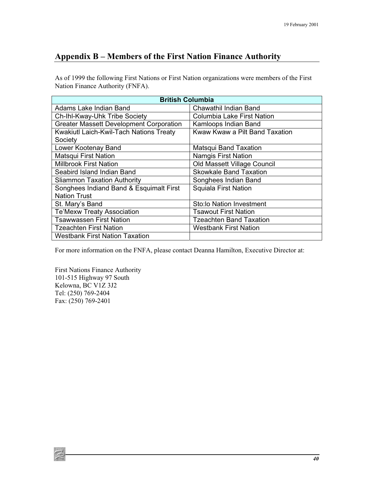# <span id="page-45-0"></span>**Appendix B – Members of the First Nation Finance Authority**

As of 1999 the following First Nations or First Nation organizations were members of the First Nation Finance Authority (FNFA).

| <b>British Columbia</b>                        |                                |  |
|------------------------------------------------|--------------------------------|--|
| Adams Lake Indian Band                         | Chawathil Indian Band          |  |
| Ch-Ihl-Kway-Uhk Tribe Society                  | Columbia Lake First Nation     |  |
| <b>Greater Massett Development Corporation</b> | Kamloops Indian Band           |  |
| Kwakiutl Laich-Kwil-Tach Nations Treaty        | Kwaw Kwaw a Pilt Band Taxation |  |
| Society                                        |                                |  |
| Lower Kootenay Band                            | Matsqui Band Taxation          |  |
| <b>Matsqui First Nation</b>                    | <b>Namgis First Nation</b>     |  |
| <b>Millbrook First Nation</b>                  | Old Massett Village Council    |  |
| Seabird Island Indian Band                     | <b>Skowkale Band Taxation</b>  |  |
| <b>Sliammon Taxation Authority</b>             | Songhees Indian Band           |  |
| Songhees Indiand Band & Esquimalt First        | <b>Squiala First Nation</b>    |  |
| <b>Nation Trust</b>                            |                                |  |
| St. Mary's Band                                | Sto:lo Nation Investment       |  |
| Te'Mexw Treaty Association                     | <b>Tsawout First Nation</b>    |  |
| <b>Tsawwassen First Nation</b>                 | <b>Tzeachten Band Taxation</b> |  |
| <b>Tzeachten First Nation</b>                  | <b>Westbank First Nation</b>   |  |
| <b>Westbank First Nation Taxation</b>          |                                |  |

For more information on the FNFA, please contact Deanna Hamilton, Executive Director at:

First Nations Finance Authority 101-515 Highway 97 South Kelowna, BC V1Z 3J2 Tel: (250) 769-2404 Fax: (250) 769-2401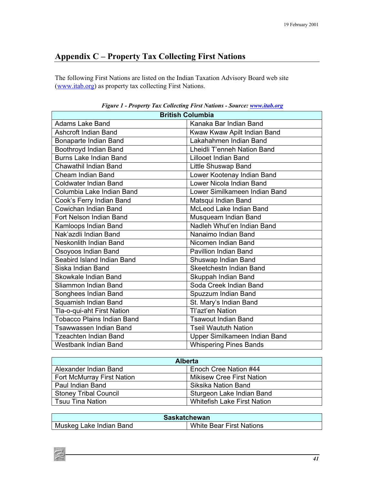# <span id="page-46-0"></span>**Appendix C – Property Tax Collecting First Nations**

The following First Nations are listed on the Indian Taxation Advisory Board web site [\(www.itab.org\) a](www.itab.ca)s property tax collecting First Nations.

| <b>British Columbia</b>           |                               |
|-----------------------------------|-------------------------------|
| Adams Lake Band                   | Kanaka Bar Indian Band        |
| <b>Ashcroft Indian Band</b>       | Kwaw Kwaw Apilt Indian Band   |
| Bonaparte Indian Band             | Lakahahmen Indian Band        |
| Boothroyd Indian Band             | Lheidli T'enneh Nation Band   |
| <b>Burns Lake Indian Band</b>     | <b>Lillooet Indian Band</b>   |
| Chawathil Indian Band             | Little Shuswap Band           |
| <b>Cheam Indian Band</b>          | Lower Kootenay Indian Band    |
| <b>Coldwater Indian Band</b>      | Lower Nicola Indian Band      |
| Columbia Lake Indian Band         | Lower Similkameen Indian Band |
| Cook's Ferry Indian Band          | Matsqui Indian Band           |
| Cowichan Indian Band              | McLeod Lake Indian Band       |
| Fort Nelson Indian Band           | Musqueam Indian Band          |
| Kamloops Indian Band              | Nadleh Whut'en Indian Band    |
| Nak'azdli Indian Band             | Nanaimo Indian Band           |
| Neskonlith Indian Band            | Nicomen Indian Band           |
| Osoyoos Indian Band               | <b>Pavillion Indian Band</b>  |
| Seabird Island Indian Band        | Shuswap Indian Band           |
| Siska Indian Band                 | Skeetchestn Indian Band       |
| Skowkale Indian Band              | Skuppah Indian Band           |
| Sliammon Indian Band              | Soda Creek Indian Band        |
| Songhees Indian Band              | Spuzzum Indian Band           |
| Squamish Indian Band              | St. Mary's Indian Band        |
| Tla-o-qui-aht First Nation        | Tl'azt'en Nation              |
| <b>Tobacco Plains Indian Band</b> | <b>Tsawout Indian Band</b>    |
| Tsawwassen Indian Band            | <b>Tseil Waututh Nation</b>   |
| <b>Tzeachten Indian Band</b>      | Upper Similkameen Indian Band |
| <b>Westbank Indian Band</b>       | <b>Whispering Pines Bands</b> |

*Figure 1 - Property Tax Collecting First Nations - Source: [www.itab.org](www.itab.ca)*

| <b>Alberta</b>                    |                                    |
|-----------------------------------|------------------------------------|
| Alexander Indian Band             | Enoch Cree Nation #44              |
| <b>Fort McMurray First Nation</b> | <b>Mikisew Cree First Nation</b>   |
| Paul Indian Band                  | Siksika Nation Band                |
| <b>Stoney Tribal Council</b>      | Sturgeon Lake Indian Band          |
| <b>Tsuu Tina Nation</b>           | <b>Whitefish Lake First Nation</b> |

| <b>Saskatchewan</b>     |                                 |
|-------------------------|---------------------------------|
| Muskeg Lake Indian Band | <b>White Bear First Nations</b> |

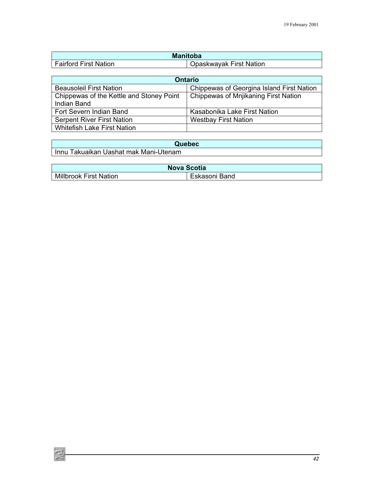| <b>Manitoba</b>              |                         |
|------------------------------|-------------------------|
| <b>Fairford First Nation</b> | Opaskwayak First Nation |

| <b>Ontario</b>                           |                                           |  |
|------------------------------------------|-------------------------------------------|--|
| <b>Beausoleil First Nation</b>           | Chippewas of Georgina Island First Nation |  |
| Chippewas of the Kettle and Stoney Point | Chippewas of Mnjikaning First Nation      |  |
| Indian Band                              |                                           |  |
| Fort Severn Indian Band                  | Kasabonika Lake First Nation              |  |
| <b>Serpent River First Nation</b>        | <b>Westbay First Nation</b>               |  |
| <b>Whitefish Lake First Nation</b>       |                                           |  |

| Quebec                                |  |
|---------------------------------------|--|
| Innu Takuaikan Uashat mak Mani-Utenam |  |

| <b>Nova Scotia</b>            |               |
|-------------------------------|---------------|
| <b>Millbrook First Nation</b> | Eskasoni Band |